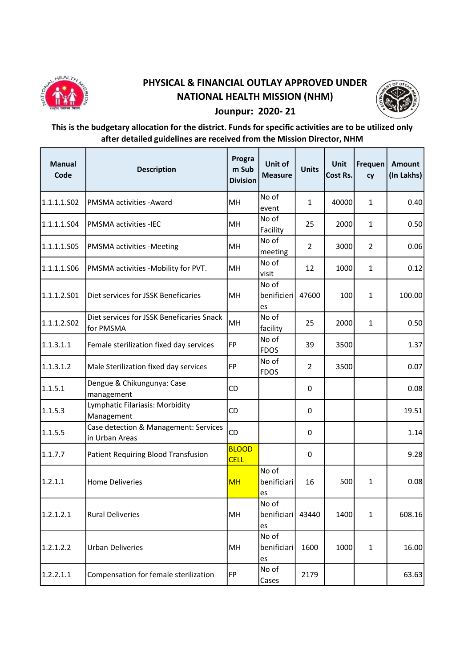

## PHYSICAL & FINANCIAL OUTLAY APPROVED UNDER NATIONAL HEALTH MISSION (NHM)



## Jounpur: 2020- 21

## This is the budgetary allocation for the district. Funds for specific activities are to be utilized only after detailed guidelines are received from the Mission Director, NHM

| <b>Manual</b><br>Code | <b>Description</b>                                      | Progra<br>m Sub<br><b>Division</b> | Unit of<br><b>Measure</b>        | <b>Units</b>   | Unit<br>Cost Rs. | Frequen<br>cy  | Amount<br>(In Lakhs) |
|-----------------------|---------------------------------------------------------|------------------------------------|----------------------------------|----------------|------------------|----------------|----------------------|
| 1.1.1.1.S02           | <b>PMSMA activities - Award</b>                         | MH                                 | No of<br>event                   | $\mathbf{1}$   | 40000            | $\mathbf{1}$   | 0.40                 |
| 1.1.1.1.504           | <b>PMSMA activities -IEC</b>                            | MH                                 | No of<br>Facility                | 25             | 2000             | $\mathbf{1}$   | 0.50                 |
| 1.1.1.1.505           | <b>PMSMA activities -Meeting</b>                        | MH                                 | No of<br>meeting                 | $\overline{2}$ | 3000             | $\overline{2}$ | 0.06                 |
| 1.1.1.1.506           | PMSMA activities -Mobility for PVT.                     | MH                                 | No of<br>visit                   | 12             | 1000             | $\mathbf{1}$   | 0.12                 |
| 1.1.1.2.501           | Diet services for JSSK Beneficaries                     | MH                                 | No of<br>benificieri<br>es       | 47600          | 100              | $\mathbf{1}$   | 100.00               |
| 1.1.1.2.502           | Diet services for JSSK Beneficaries Snack<br>for PMSMA  | MH                                 | No of<br>facility                | 25             | 2000             | 1              | 0.50                 |
| 1.1.3.1.1             | Female sterilization fixed day services                 | <b>FP</b>                          | No of<br><b>FDOS</b>             | 39             | 3500             |                | 1.37                 |
| 1.1.3.1.2             | Male Sterilization fixed day services                   | <b>FP</b>                          | No of<br><b>FDOS</b>             | $\overline{2}$ | 3500             |                | 0.07                 |
| 1.1.5.1               | Dengue & Chikungunya: Case<br>management                | CD                                 |                                  | 0              |                  |                | 0.08                 |
| 1.1.5.3               | Lymphatic Filariasis: Morbidity<br>Management           | CD                                 |                                  | 0              |                  |                | 19.51                |
| 1.1.5.5               | Case detection & Management: Services<br>in Urban Areas | CD                                 |                                  | 0              |                  |                | 1.14                 |
| 1.1.7.7               | Patient Requiring Blood Transfusion                     | <b>BLOOD</b><br><b>CELL</b>        |                                  | 0              |                  |                | 9.28                 |
| 1.2.1.1               | <b>Home Deliveries</b>                                  | <b>MH</b>                          | No of<br>benificiari<br>es       | 16             | 500              | 1              | 0.08                 |
| 1.2.1.2.1             | <b>Rural Deliveries</b>                                 | MH                                 | No of<br>benificiari 43440<br>es |                | 1400             | $\mathbf{1}$   | 608.16               |
| 1.2.1.2.2             | <b>Urban Deliveries</b>                                 | MH                                 | No of<br>benificiari<br>es       | 1600           | 1000             | 1              | 16.00                |
| 1.2.2.1.1             | Compensation for female sterilization                   | <b>FP</b>                          | No of<br>Cases                   | 2179           |                  |                | 63.63                |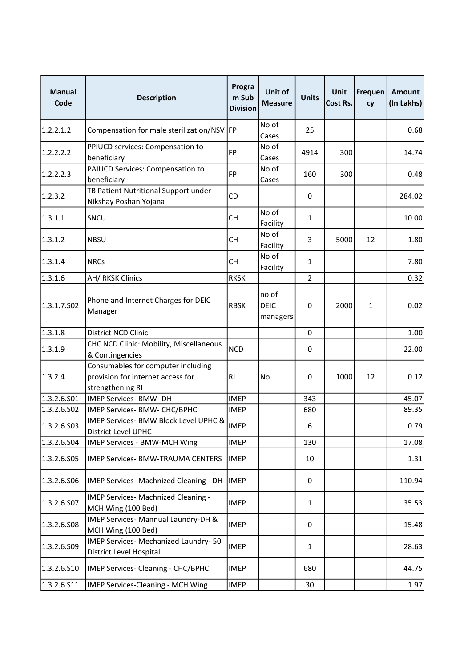| <b>Manual</b><br>Code | <b>Description</b>                                                                          | Progra<br>m Sub<br><b>Division</b> | Unit of<br><b>Measure</b>        | <b>Units</b>   | Unit<br>Cost Rs. | Frequen<br>cy | Amount<br>(In Lakhs) |
|-----------------------|---------------------------------------------------------------------------------------------|------------------------------------|----------------------------------|----------------|------------------|---------------|----------------------|
| 1.2.2.1.2             | Compensation for male sterilization/NSV                                                     | <b>FP</b>                          | No of<br>Cases                   | 25             |                  |               | 0.68                 |
| 1.2.2.2.2             | PPIUCD services: Compensation to<br>beneficiary                                             | <b>FP</b>                          | No of<br>Cases                   | 4914           | 300              |               | 14.74                |
| 1.2.2.2.3             | PAIUCD Services: Compensation to<br>beneficiary                                             | <b>FP</b>                          | No of<br>Cases                   | 160            | 300              |               | 0.48                 |
| 1.2.3.2               | TB Patient Nutritional Support under<br>Nikshay Poshan Yojana                               | CD                                 |                                  | 0              |                  |               | 284.02               |
| 1.3.1.1               | <b>SNCU</b>                                                                                 | СH                                 | No of<br>Facility                | $\mathbf{1}$   |                  |               | 10.00                |
| 1.3.1.2               | <b>NBSU</b>                                                                                 | <b>CH</b>                          | No of<br>Facility                | 3              | 5000             | 12            | 1.80                 |
| 1.3.1.4               | <b>NRCs</b>                                                                                 | <b>CH</b>                          | No of<br>Facility                | $\mathbf{1}$   |                  |               | 7.80                 |
| 1.3.1.6               | <b>AH/ RKSK Clinics</b>                                                                     | <b>RKSK</b>                        |                                  | $\overline{2}$ |                  |               | 0.32                 |
| 1.3.1.7.502           | Phone and Internet Charges for DEIC<br>Manager                                              | <b>RBSK</b>                        | no of<br><b>DEIC</b><br>managers | 0              | 2000             | 1             | 0.02                 |
| 1.3.1.8               | District NCD Clinic                                                                         |                                    |                                  | 0              |                  |               | 1.00                 |
| 1.3.1.9               | CHC NCD Clinic: Mobility, Miscellaneous<br>& Contingencies                                  | <b>NCD</b>                         |                                  | 0              |                  |               | 22.00                |
| 1.3.2.4               | Consumables for computer including<br>provision for internet access for<br>strengthening RI | RI                                 | No.                              | 0              | 1000             | 12            | 0.12                 |
| 1.3.2.6.501           | <b>IMEP Services- BMW- DH</b>                                                               | <b>IMEP</b>                        |                                  | 343            |                  |               | 45.07                |
| 1.3.2.6.502           | IMEP Services- BMW- CHC/BPHC                                                                | <b>IMEP</b>                        |                                  | 680            |                  |               | 89.35                |
| 1.3.2.6.S03           | IMEP Services- BMW Block Level UPHC &<br>District Level UPHC                                | <b>IMEP</b>                        |                                  | 6              |                  |               | 0.79                 |
| 1.3.2.6.504           | IMEP Services - BMW-MCH Wing                                                                | <b>IMEP</b>                        |                                  | 130            |                  |               | 17.08                |
| 1.3.2.6.S05           | <b>IMEP Services- BMW-TRAUMA CENTERS</b>                                                    | <b>IMEP</b>                        |                                  | 10             |                  |               | 1.31                 |
| 1.3.2.6.506           | IMEP Services- Machnized Cleaning - DH                                                      | <b>IMEP</b>                        |                                  | 0              |                  |               | 110.94               |
| 1.3.2.6.S07           | IMEP Services- Machnized Cleaning -<br>MCH Wing (100 Bed)                                   | <b>IMEP</b>                        |                                  | 1              |                  |               | 35.53                |
| 1.3.2.6.508           | IMEP Services- Mannual Laundry-DH &<br>MCH Wing (100 Bed)                                   | <b>IMEP</b>                        |                                  | 0              |                  |               | 15.48                |
| 1.3.2.6.509           | IMEP Services- Mechanized Laundry-50<br>District Level Hospital                             | <b>IMEP</b>                        |                                  | 1              |                  |               | 28.63                |
| 1.3.2.6.510           | IMEP Services- Cleaning - CHC/BPHC                                                          | <b>IMEP</b>                        |                                  | 680            |                  |               | 44.75                |
| 1.3.2.6.S11           | IMEP Services-Cleaning - MCH Wing                                                           | <b>IMEP</b>                        |                                  | 30             |                  |               | 1.97                 |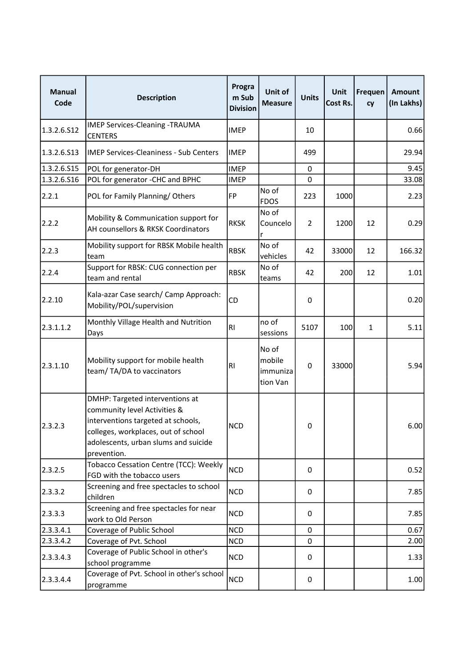| <b>Manual</b><br>Code | <b>Description</b>                                                                                                                                                                                  | Progra<br>m Sub<br><b>Division</b> | Unit of<br><b>Measure</b>               | <b>Units</b>   | Unit<br>Cost Rs. | Frequen<br>cy | Amount<br>(In Lakhs) |
|-----------------------|-----------------------------------------------------------------------------------------------------------------------------------------------------------------------------------------------------|------------------------------------|-----------------------------------------|----------------|------------------|---------------|----------------------|
| 1.3.2.6.512           | <b>IMEP Services-Cleaning -TRAUMA</b><br><b>CENTERS</b>                                                                                                                                             | <b>IMEP</b>                        |                                         | 10             |                  |               | 0.66                 |
| 1.3.2.6.513           | <b>IMEP Services-Cleaniness - Sub Centers</b>                                                                                                                                                       | <b>IMEP</b>                        |                                         | 499            |                  |               | 29.94                |
| 1.3.2.6.S15           | POL for generator-DH                                                                                                                                                                                | <b>IMEP</b>                        |                                         | $\Omega$       |                  |               | 9.45                 |
| 1.3.2.6.516           | POL for generator -CHC and BPHC                                                                                                                                                                     | <b>IMEP</b>                        |                                         | $\Omega$       |                  |               | 33.08                |
| 2.2.1                 | POL for Family Planning/Others                                                                                                                                                                      | <b>FP</b>                          | No of<br><b>FDOS</b>                    | 223            | 1000             |               | 2.23                 |
| 2.2.2                 | Mobility & Communication support for<br>AH counsellors & RKSK Coordinators                                                                                                                          | <b>RKSK</b>                        | No of<br>Councelo                       | $\overline{2}$ | 1200             | 12            | 0.29                 |
| 2.2.3                 | Mobility support for RBSK Mobile health<br>lteam                                                                                                                                                    | <b>RBSK</b>                        | No of<br>vehicles                       | 42             | 33000            | 12            | 166.32               |
| 2.2.4                 | Support for RBSK: CUG connection per<br>team and rental                                                                                                                                             | <b>RBSK</b>                        | No of<br>teams                          | 42             | 200              | 12            | 1.01                 |
| 2.2.10                | Kala-azar Case search/ Camp Approach:<br>Mobility/POL/supervision                                                                                                                                   | CD                                 |                                         | 0              |                  |               | 0.20                 |
| 2.3.1.1.2             | Monthly Village Health and Nutrition<br>Days                                                                                                                                                        | <b>RI</b>                          | no of<br>sessions                       | 5107           | 100              | $\mathbf{1}$  | 5.11                 |
| 2.3.1.10              | Mobility support for mobile health<br>team/TA/DA to vaccinators                                                                                                                                     | R1                                 | No of<br>mobile<br>immuniza<br>tion Van | 0              | 33000            |               | 5.94                 |
| 2.3.2.3               | DMHP: Targeted interventions at<br>community level Activities &<br>interventions targeted at schools,<br>colleges, workplaces, out of school<br>adolescents, urban slums and suicide<br>prevention. | <b>NCD</b>                         |                                         | 0              |                  |               | 6.00                 |
| 2.3.2.5               | Tobacco Cessation Centre (TCC): Weekly<br>FGD with the tobacco users                                                                                                                                | <b>NCD</b>                         |                                         | $\Omega$       |                  |               | 0.52                 |
| 2.3.3.2               | Screening and free spectacles to school<br>children                                                                                                                                                 | <b>NCD</b>                         |                                         | 0              |                  |               | 7.85                 |
| 2.3.3.3               | Screening and free spectacles for near<br>work to Old Person                                                                                                                                        | <b>NCD</b>                         |                                         | 0              |                  |               | 7.85                 |
| 2.3.3.4.1             | Coverage of Public School                                                                                                                                                                           | <b>NCD</b>                         |                                         | 0              |                  |               | 0.67                 |
| 2.3.3.4.2             | Coverage of Pvt. School                                                                                                                                                                             | <b>NCD</b>                         |                                         | $\mathbf 0$    |                  |               | 2.00                 |
| 2.3.3.4.3             | Coverage of Public School in other's<br>school programme                                                                                                                                            | <b>NCD</b>                         |                                         | 0              |                  |               | 1.33                 |
| 2.3.3.4.4             | Coverage of Pvt. School in other's school<br>programme                                                                                                                                              | <b>NCD</b>                         |                                         | 0              |                  |               | 1.00                 |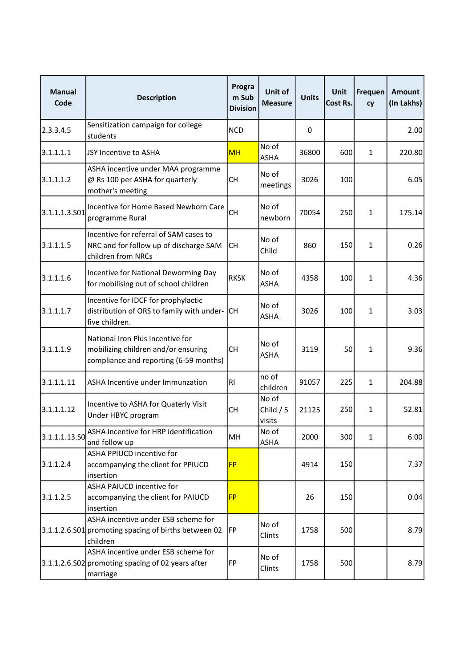| <b>Manual</b><br>Code | <b>Description</b>                                                                                                | Progra<br>m Sub<br><b>Division</b> | Unit of<br><b>Measure</b>     | <b>Units</b> | Unit<br>Cost Rs. | Frequen<br>cy | Amount<br>(In Lakhs) |
|-----------------------|-------------------------------------------------------------------------------------------------------------------|------------------------------------|-------------------------------|--------------|------------------|---------------|----------------------|
| 2.3.3.4.5             | Sensitization campaign for college<br>students                                                                    | <b>NCD</b>                         |                               | 0            |                  |               | 2.00                 |
| 3.1.1.1.1             | JSY Incentive to ASHA                                                                                             | <b>MH</b>                          | No of<br><b>ASHA</b>          | 36800        | 600              | $\mathbf{1}$  | 220.80               |
| 3.1.1.1.2             | ASHA incentive under MAA programme<br>@ Rs 100 per ASHA for quarterly<br>mother's meeting                         | CН                                 | No of<br>meetings             | 3026         | 100              |               | 6.05                 |
| 3.1.1.1.3.501         | Incentive for Home Based Newborn Care<br>programme Rural                                                          | <b>CH</b>                          | No of<br>newborn              | 70054        | 250              | 1             | 175.14               |
| 3.1.1.1.5             | Incentive for referral of SAM cases to<br>NRC and for follow up of discharge SAM<br>children from NRCs            | СH                                 | No of<br>Child                | 860          | 150              | $\mathbf{1}$  | 0.26                 |
| 3.1.1.1.6             | Incentive for National Deworming Day<br>for mobilising out of school children                                     | <b>RKSK</b>                        | No of<br><b>ASHA</b>          | 4358         | 100              | 1             | 4.36                 |
| 3.1.1.1.7             | Incentive for IDCF for prophylactic<br>distribution of ORS to family with under-<br>five children.                | CH.                                | No of<br><b>ASHA</b>          | 3026         | 100              | 1             | 3.03                 |
| 3.1.1.1.9             | National Iron Plus Incentive for<br>mobilizing children and/or ensuring<br>compliance and reporting (6-59 months) | <b>CH</b>                          | No of<br><b>ASHA</b>          | 3119         | 50               | 1             | 9.36                 |
| 3.1.1.1.11            | ASHA Incentive under Immunzation                                                                                  | <b>RI</b>                          | no of<br>children             | 91057        | 225              | 1             | 204.88               |
| 3.1.1.1.12            | Incentive to ASHA for Quaterly Visit<br>Under HBYC program                                                        | <b>CH</b>                          | No of<br>Child $/5$<br>visits | 21125        | 250              | $\mathbf{1}$  | 52.81                |
| 3.1.1.1.13.50         | ASHA incentive for HRP identification<br>and follow up                                                            | MH                                 | No of<br><b>ASHA</b>          | 2000         | 300              | $\mathbf{1}$  | 6.00                 |
| 3.1.1.2.4             | ASHA PPIUCD incentive for<br>accompanying the client for PPIUCD<br>insertion                                      | <b>FP</b>                          |                               | 4914         | 150              |               | 7.37                 |
| 3.1.1.2.5             | ASHA PAIUCD incentive for<br>accompanying the client for PAIUCD<br>insertion                                      | <b>FP</b>                          |                               | 26           | 150              |               | 0.04                 |
|                       | ASHA incentive under ESB scheme for<br>3.1.1.2.6.S01 promoting spacing of births between 02<br>children           | FP                                 | No of<br>Clints               | 1758         | 500              |               | 8.79                 |
|                       | ASHA incentive under ESB scheme for<br>3.1.1.2.6.S02 promoting spacing of 02 years after<br>marriage              | <b>FP</b>                          | No of<br>Clints               | 1758         | 500              |               | 8.79                 |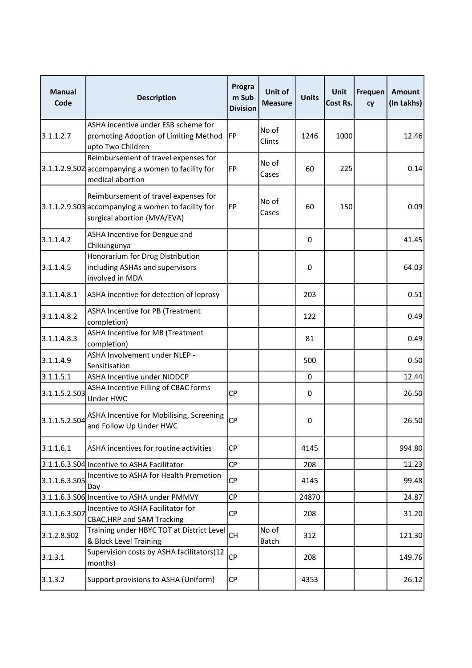| <b>Manual</b><br>Code | <b>Description</b>                                                                                                        | Progra<br>m Sub<br><b>Division</b> | Unit of<br><b>Measure</b> | <b>Units</b> | Unit<br>Cost Rs. | Frequen<br>cy | Amount<br>(In Lakhs) |
|-----------------------|---------------------------------------------------------------------------------------------------------------------------|------------------------------------|---------------------------|--------------|------------------|---------------|----------------------|
| 3.1.1.2.7             | ASHA incentive under ESB scheme for<br>promoting Adoption of Limiting Method<br>upto Two Children                         | FP                                 | No of<br>Clints           | 1246         | 1000             |               | 12.46                |
|                       | Reimbursement of travel expenses for<br>3.1.1.2.9.502 accompanying a women to facility for<br>medical abortion            | <b>FP</b>                          | No of<br>Cases            | 60           | 225              |               | 0.14                 |
|                       | Reimbursement of travel expenses for<br>3.1.1.2.9.S03 accompanying a women to facility for<br>surgical abortion (MVA/EVA) | <b>FP</b>                          | No of<br>Cases            | 60           | 150              |               | 0.09                 |
| 3.1.1.4.2             | ASHA Incentive for Dengue and<br>Chikungunya                                                                              |                                    |                           | 0            |                  |               | 41.45                |
| 3.1.1.4.5             | Honorarium for Drug Distribution<br>including ASHAs and supervisors<br>involved in MDA                                    |                                    |                           | 0            |                  |               | 64.03                |
| 3.1.1.4.8.1           | ASHA incentive for detection of leprosy                                                                                   |                                    |                           | 203          |                  |               | 0.51                 |
| 3.1.1.4.8.2           | ASHA Incentive for PB (Treatment<br>completion)                                                                           |                                    |                           | 122          |                  |               | 0.49                 |
| 3.1.1.4.8.3           | <b>ASHA Incentive for MB (Treatment</b><br>completion)                                                                    |                                    |                           | 81           |                  |               | 0.49                 |
| 3.1.1.4.9             | ASHA Involvement under NLEP -<br>Sensitisation                                                                            |                                    |                           | 500          |                  |               | 0.50                 |
| 3.1.1.5.1             | ASHA Incentive under NIDDCP                                                                                               |                                    |                           | 0            |                  |               | 12.44                |
| 3.1.1.5.2.S03         | ASHA Incentive Filling of CBAC forms<br>Under HWC                                                                         | <b>CP</b>                          |                           | 0            |                  |               | 26.50                |
| 3.1.1.5.2.S04         | ASHA Incentive for Mobilising, Screening<br>and Follow Up Under HWC                                                       | <b>CP</b>                          |                           | 0            |                  |               | 26.50                |
| 3.1.1.6.1             | ASHA incentives for routine activities                                                                                    | <b>CP</b>                          |                           | 4145         |                  |               | 994.80               |
|                       | 3.1.1.6.3.S04 Incentive to ASHA Facilitator                                                                               | <b>CP</b>                          |                           | 208          |                  |               | 11.23                |
| 3.1.1.6.3.S05         | Incentive to ASHA for Health Promotion<br>Day                                                                             | <b>CP</b>                          |                           | 4145         |                  |               | 99.48                |
|                       | 3.1.1.6.3.S06 Incentive to ASHA under PMMVY                                                                               | <b>CP</b>                          |                           | 24870        |                  |               | 24.87                |
| 3.1.1.6.3.S07         | Incentive to ASHA Facilitator for<br><b>CBAC, HRP and SAM Tracking</b>                                                    | <b>CP</b>                          |                           | 208          |                  |               | 31.20                |
| 3.1.2.8.502           | Training under HBYC TOT at District Level<br>& Block Level Training                                                       | <b>CH</b>                          | No of<br>Batch            | 312          |                  |               | 121.30               |
| 3.1.3.1               | Supervision costs by ASHA facilitators(12<br>months)                                                                      | <b>CP</b>                          |                           | 208          |                  |               | 149.76               |
| 3.1.3.2               | Support provisions to ASHA (Uniform)                                                                                      | <b>CP</b>                          |                           | 4353         |                  |               | 26.12                |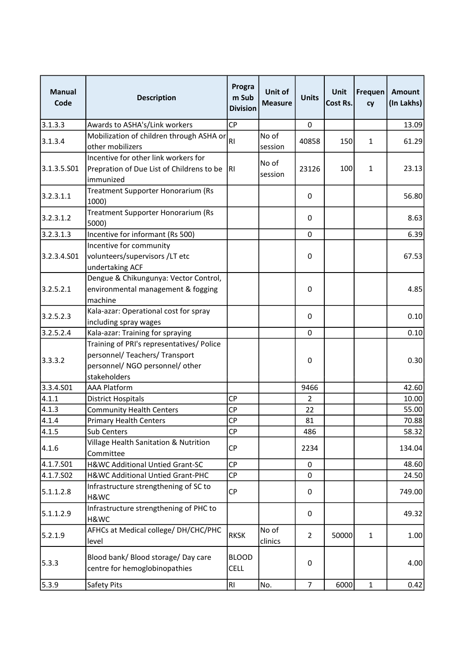| <b>Manual</b><br>Code | <b>Description</b>                                                                                                             | Progra<br>m Sub<br><b>Division</b> | Unit of<br><b>Measure</b> | <b>Units</b>   | <b>Unit</b><br>Cost Rs. | Frequen<br>cy | Amount<br>(In Lakhs) |
|-----------------------|--------------------------------------------------------------------------------------------------------------------------------|------------------------------------|---------------------------|----------------|-------------------------|---------------|----------------------|
| 3.1.3.3               | Awards to ASHA's/Link workers                                                                                                  | <b>CP</b>                          |                           | $\mathbf 0$    |                         |               | 13.09                |
| 3.1.3.4               | Mobilization of children through ASHA or                                                                                       | R <sub>l</sub>                     | No of                     | 40858          | 150                     | $\mathbf{1}$  | 61.29                |
|                       | other mobilizers                                                                                                               |                                    | session                   |                |                         |               |                      |
| 3.1.3.5.501           | Incentive for other link workers for<br>Prepration of Due List of Childrens to be<br>immunized                                 | RI                                 | No of<br>session          | 23126          | 100                     | $\mathbf{1}$  | 23.13                |
| 3.2.3.1.1             | Treatment Supporter Honorarium (Rs<br>1000)                                                                                    |                                    |                           | 0              |                         |               | 56.80                |
| 3.2.3.1.2             | Treatment Supporter Honorarium (Rs<br>5000)                                                                                    |                                    |                           | 0              |                         |               | 8.63                 |
| 3.2.3.1.3             | Incentive for informant (Rs 500)                                                                                               |                                    |                           | 0              |                         |               | 6.39                 |
| 3.2.3.4.SO1           | Incentive for community<br>volunteers/supervisors /LT etc<br>undertaking ACF                                                   |                                    |                           | 0              |                         |               | 67.53                |
| 3.2.5.2.1             | Dengue & Chikungunya: Vector Control,<br>environmental management & fogging<br>machine                                         |                                    |                           | 0              |                         |               | 4.85                 |
| 3.2.5.2.3             | Kala-azar: Operational cost for spray<br>including spray wages                                                                 |                                    |                           | 0              |                         |               | 0.10                 |
| 3.2.5.2.4             | Kala-azar: Training for spraying                                                                                               |                                    |                           | 0              |                         |               | 0.10                 |
| 3.3.3.2               | Training of PRI's representatives/ Police<br>personnel/ Teachers/ Transport<br>personnel/ NGO personnel/ other<br>stakeholders |                                    |                           | 0              |                         |               | 0.30                 |
| 3.3.4.501             | <b>AAA Platform</b>                                                                                                            |                                    |                           | 9466           |                         |               | 42.60                |
| 4.1.1                 | <b>District Hospitals</b>                                                                                                      | <b>CP</b>                          |                           | 2              |                         |               | 10.00                |
| 4.1.3                 | <b>Community Health Centers</b>                                                                                                | <b>CP</b>                          |                           | 22             |                         |               | 55.00                |
| 4.1.4                 | <b>Primary Health Centers</b>                                                                                                  | <b>CP</b>                          |                           | 81             |                         |               | 70.88                |
| 4.1.5                 | Sub Centers                                                                                                                    | CP                                 |                           | 486            |                         |               | 58.32                |
| 4.1.6                 | Village Health Sanitation & Nutrition<br>Committee                                                                             | <b>CP</b>                          |                           | 2234           |                         |               | 134.04               |
| 4.1.7.S01             | H&WC Additional Untied Grant-SC                                                                                                | <b>CP</b>                          |                           | $\mathbf 0$    |                         |               | 48.60                |
| 4.1.7.S02             | H&WC Additional Untied Grant-PHC                                                                                               | <b>CP</b>                          |                           | 0              |                         |               | 24.50                |
| 5.1.1.2.8             | Infrastructure strengthening of SC to<br>H&WC                                                                                  | <b>CP</b>                          |                           | 0              |                         |               | 749.00               |
| 5.1.1.2.9             | Infrastructure strengthening of PHC to<br>H&WC                                                                                 |                                    |                           | 0              |                         |               | 49.32                |
| 5.2.1.9               | AFHCs at Medical college/DH/CHC/PHC<br>level                                                                                   | <b>RKSK</b>                        | No of<br>clinics          | $\overline{2}$ | 50000                   | $\mathbf{1}$  | 1.00                 |
| 5.3.3                 | Blood bank/ Blood storage/ Day care<br>centre for hemoglobinopathies                                                           | <b>BLOOD</b><br><b>CELL</b>        |                           | 0              |                         |               | 4.00                 |
| 5.3.9                 | <b>Safety Pits</b>                                                                                                             | RI                                 | No.                       | $\overline{7}$ | 6000                    | $\mathbf{1}$  | 0.42                 |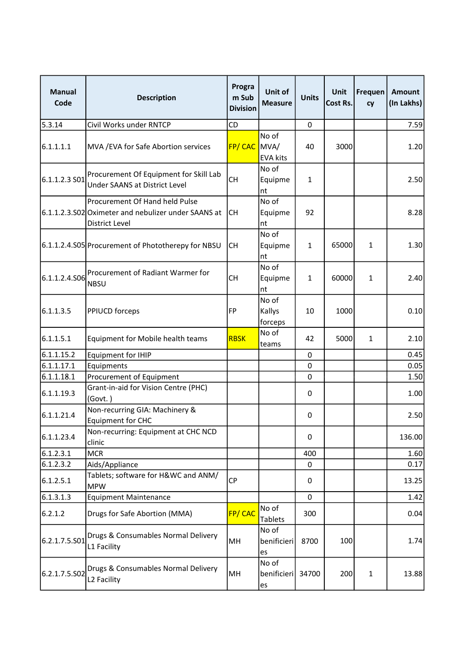| <b>Manual</b><br>Code | <b>Description</b>                                                                                             | Progra<br>m Sub<br><b>Division</b> | Unit of<br><b>Measure</b>        | <b>Units</b> | Unit<br>Cost Rs. | Frequen<br>cy | Amount<br>(In Lakhs) |
|-----------------------|----------------------------------------------------------------------------------------------------------------|------------------------------------|----------------------------------|--------------|------------------|---------------|----------------------|
| 5.3.14                | Civil Works under RNTCP                                                                                        | CD                                 |                                  | 0            |                  |               | 7.59                 |
| 6.1.1.1.1             | MVA / EVA for Safe Abortion services                                                                           | FP/CAC                             | No of<br>MVA/<br><b>EVA kits</b> | 40           | 3000             |               | 1.20                 |
| 6.1.1.2.3 S01         | Procurement Of Equipment for Skill Lab<br>Under SAANS at District Level                                        | <b>CH</b>                          | No of<br>Equipme<br>nt           | $\mathbf{1}$ |                  |               | 2.50                 |
|                       | Procurement Of Hand held Pulse<br>6.1.1.2.3.S02 Oximeter and nebulizer under SAANS at<br><b>District Level</b> | СH                                 | No of<br>Equipme<br>nt           | 92           |                  |               | 8.28                 |
|                       | 6.1.1.2.4.S05 Procurement of Phototherepy for NBSU                                                             | <b>CH</b>                          | No of<br>Equipme<br>nt           | $\mathbf{1}$ | 65000            | $\mathbf{1}$  | 1.30                 |
| 6.1.1.2.4.S06         | Procurement of Radiant Warmer for<br><b>NBSU</b>                                                               | <b>CH</b>                          | No of<br>Equipme<br>nt           | $\mathbf{1}$ | 60000            | $\mathbf{1}$  | 2.40                 |
| 6.1.1.3.5             | <b>PPIUCD</b> forceps                                                                                          | <b>FP</b>                          | No of<br>Kallys<br>forceps       | 10           | 1000             |               | 0.10                 |
| 6.1.1.5.1             | Equipment for Mobile health teams                                                                              | <b>RBSK</b>                        | No of<br>teams                   | 42           | 5000             | $\mathbf{1}$  | 2.10                 |
| 6.1.1.15.2            | <b>Equipment for IHIP</b>                                                                                      |                                    |                                  | 0            |                  |               | 0.45                 |
| 6.1.1.17.1            | Equipments                                                                                                     |                                    |                                  | 0            |                  |               | 0.05                 |
| 6.1.1.18.1            | Procurement of Equipment                                                                                       |                                    |                                  | $\mathbf 0$  |                  |               | 1.50                 |
| 6.1.1.19.3            | Grant-in-aid for Vision Centre (PHC)<br>(Govt.)                                                                |                                    |                                  | 0            |                  |               | 1.00                 |
| 6.1.1.21.4            | Non-recurring GIA: Machinery &<br><b>Equipment for CHC</b>                                                     |                                    |                                  | 0            |                  |               | 2.50                 |
| 6.1.1.23.4            | Non-recurring: Equipment at CHC NCD<br>clinic                                                                  |                                    |                                  | 0            |                  |               | 136.00               |
| 6.1.2.3.1             | <b>MCR</b>                                                                                                     |                                    |                                  | 400          |                  |               | 1.60                 |
| 6.1.2.3.2             | Aids/Appliance                                                                                                 |                                    |                                  | 0            |                  |               | 0.17                 |
| 6.1.2.5.1             | Tablets; software for H&WC and ANM/<br><b>MPW</b>                                                              | <b>CP</b>                          |                                  | 0            |                  |               | 13.25                |
| 6.1.3.1.3             | <b>Equipment Maintenance</b>                                                                                   |                                    |                                  | $\Omega$     |                  |               | 1.42                 |
| 6.2.1.2               | Drugs for Safe Abortion (MMA)                                                                                  | FP/CAC                             | No of<br><b>Tablets</b>          | 300          |                  |               | 0.04                 |
| 6.2.1.7.5.501         | Drugs & Consumables Normal Delivery<br>L1 Facility                                                             | MH                                 | No of<br>benificieri<br>es       | 8700         | 100              |               | 1.74                 |
| 6.2.1.7.5.502         | Drugs & Consumables Normal Delivery<br>L2 Facility                                                             | MH                                 | No of<br>benificieri<br>es       | 34700        | 200              | $\mathbf{1}$  | 13.88                |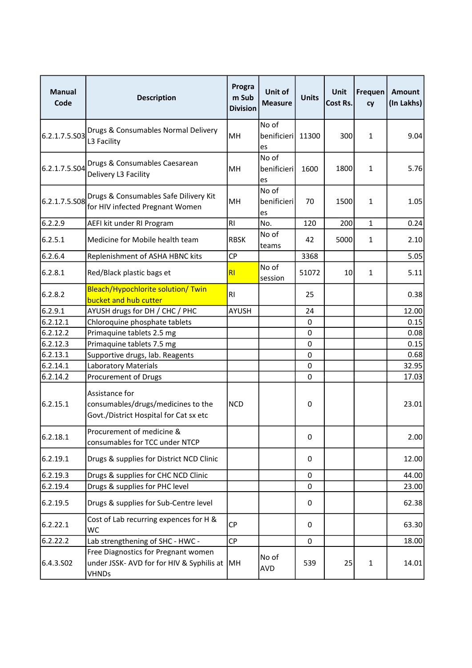| <b>Manual</b><br>Code | <b>Description</b>                                                                               | Progra<br>m Sub<br><b>Division</b> | Unit of<br><b>Measure</b>  | <b>Units</b> | <b>Unit</b><br>Cost Rs. | Frequen<br>cy | Amount<br>(In Lakhs) |
|-----------------------|--------------------------------------------------------------------------------------------------|------------------------------------|----------------------------|--------------|-------------------------|---------------|----------------------|
| 6.2.1.7.5.S03         | Drugs & Consumables Normal Delivery<br>L3 Facility                                               | MH                                 | No of<br>benificieri<br>es | 11300        | 300                     | 1             | 9.04                 |
| 6.2.1.7.5.504         | Drugs & Consumables Caesarean<br>Delivery L3 Facility                                            | MH                                 | No of<br>benificieri<br>es | 1600         | 1800                    | 1             | 5.76                 |
| 6.2.1.7.5.S08         | Drugs & Consumables Safe Dilivery Kit<br>for HIV infected Pregnant Women                         | MH                                 | No of<br>benificieri<br>es | 70           | 1500                    | $\mathbf{1}$  | 1.05                 |
| 6.2.2.9               | AEFI kit under RI Program                                                                        | R <sub>l</sub>                     | No.                        | 120          | 200                     | $\mathbf{1}$  | 0.24                 |
| 6.2.5.1               | Medicine for Mobile health team                                                                  | <b>RBSK</b>                        | No of<br>teams             | 42           | 5000                    | $\mathbf{1}$  | 2.10                 |
| 6.2.6.4               | Replenishment of ASHA HBNC kits                                                                  | <b>CP</b>                          |                            | 3368         |                         |               | 5.05                 |
| 6.2.8.1               | Red/Black plastic bags et                                                                        | R <sub>l</sub>                     | No of<br>session           | 51072        | 10                      | $\mathbf{1}$  | 5.11                 |
| 6.2.8.2               | Bleach/Hypochlorite solution/ Twin<br>bucket and hub cutter                                      | R1                                 |                            | 25           |                         |               | 0.38                 |
| 6.2.9.1               | AYUSH drugs for DH / CHC / PHC                                                                   | <b>AYUSH</b>                       |                            | 24           |                         |               | 12.00                |
| 6.2.12.1              | Chloroquine phosphate tablets                                                                    |                                    |                            | $\pmb{0}$    |                         |               | 0.15                 |
| 6.2.12.2              | Primaquine tablets 2.5 mg                                                                        |                                    |                            | $\pmb{0}$    |                         |               | 0.08                 |
| 6.2.12.3              | Primaquine tablets 7.5 mg                                                                        |                                    |                            | 0            |                         |               | 0.15                 |
| 6.2.13.1              | Supportive drugs, lab. Reagents                                                                  |                                    |                            | 0            |                         |               | 0.68                 |
| 6.2.14.1              | Laboratory Materials                                                                             |                                    |                            | 0            |                         |               | 32.95                |
| 6.2.14.2              | Procurement of Drugs                                                                             |                                    |                            | $\mathbf 0$  |                         |               | 17.03                |
| 6.2.15.1              | Assistance for<br>consumables/drugs/medicines to the<br>Govt./District Hospital for Cat sx etc   | <b>NCD</b>                         |                            | 0            |                         |               | 23.01                |
| 6.2.18.1              | Procurement of medicine &<br>consumables for TCC under NTCP                                      |                                    |                            | 0            |                         |               | 2.00                 |
| 6.2.19.1              | Drugs & supplies for District NCD Clinic                                                         |                                    |                            | 0            |                         |               | 12.00                |
| 6.2.19.3              | Drugs & supplies for CHC NCD Clinic                                                              |                                    |                            | 0            |                         |               | 44.00                |
| 6.2.19.4              | Drugs & supplies for PHC level                                                                   |                                    |                            | $\Omega$     |                         |               | 23.00                |
| 6.2.19.5              | Drugs & supplies for Sub-Centre level                                                            |                                    |                            | 0            |                         |               | 62.38                |
| 6.2.22.1              | Cost of Lab recurring expences for H &<br><b>WC</b>                                              | <b>CP</b>                          |                            | 0            |                         |               | 63.30                |
| 6.2.22.2              | Lab strengthening of SHC - HWC -                                                                 | <b>CP</b>                          |                            | 0            |                         |               | 18.00                |
| 6.4.3.S02             | Free Diagnostics for Pregnant women<br>under JSSK- AVD for for HIV & Syphilis at<br><b>VHNDs</b> | MH                                 | No of<br>AVD               | 539          | 25                      | $\mathbf{1}$  | 14.01                |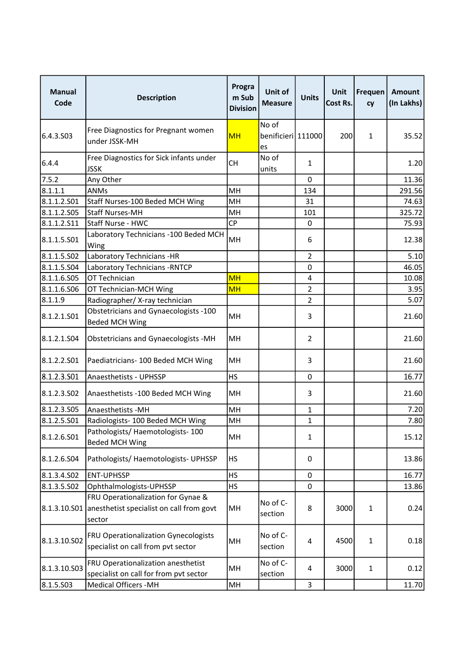| <b>Manual</b><br>Code | <b>Description</b>                                                                                    | Progra<br>m Sub<br><b>Division</b> | Unit of<br>Measure                | <b>Units</b>   | <b>Unit</b><br>Cost Rs. | Frequen<br>cy | Amount<br>(In Lakhs) |
|-----------------------|-------------------------------------------------------------------------------------------------------|------------------------------------|-----------------------------------|----------------|-------------------------|---------------|----------------------|
| 6.4.3.S03             | Free Diagnostics for Pregnant women<br>under JSSK-MH                                                  | <b>MH</b>                          | No of<br>benificieri 111000<br>es |                | 200                     | 1             | 35.52                |
| 6.4.4                 | Free Diagnostics for Sick infants under<br><b>JSSK</b>                                                | <b>CH</b>                          | No of<br>units                    | $\mathbf{1}$   |                         |               | 1.20                 |
| 7.5.2                 | Any Other                                                                                             |                                    |                                   | $\Omega$       |                         |               | 11.36                |
| 8.1.1.1               | <b>ANMs</b>                                                                                           | MH                                 |                                   | 134            |                         |               | 291.56               |
| 8.1.1.2.S01           | Staff Nurses-100 Beded MCH Wing                                                                       | MH                                 |                                   | 31             |                         |               | 74.63                |
| 8.1.1.2.S05           | Staff Nurses-MH                                                                                       | MH                                 |                                   | 101            |                         |               | 325.72               |
| 8.1.1.2.511           | Staff Nurse - HWC                                                                                     | <b>CP</b>                          |                                   | 0              |                         |               | 75.93                |
| 8.1.1.5.501           | Laboratory Technicians -100 Beded MCH<br>Wing                                                         | MH                                 |                                   | 6              |                         |               | 12.38                |
| 8.1.1.5.502           | Laboratory Technicians -HR                                                                            |                                    |                                   | $\overline{2}$ |                         |               | 5.10                 |
| 8.1.1.5.S04           | Laboratory Technicians - RNTCP                                                                        |                                    |                                   | 0              |                         |               | 46.05                |
| 8.1.1.6.S05           | OT Technician                                                                                         | <b>MH</b>                          |                                   | 4              |                         |               | 10.08                |
| 8.1.1.6.506           | OT Technician-MCH Wing                                                                                | <b>MH</b>                          |                                   | $\overline{2}$ |                         |               | 3.95                 |
| 8.1.1.9               | Radiographer/X-ray technician                                                                         |                                    |                                   | $\overline{2}$ |                         |               | 5.07                 |
| 8.1.2.1.501           | Obstetricians and Gynaecologists -100<br><b>Beded MCH Wing</b>                                        | MH                                 |                                   | 3              |                         |               | 21.60                |
| 8.1.2.1.504           | Obstetricians and Gynaecologists -MH                                                                  | MH                                 |                                   | $\overline{2}$ |                         |               | 21.60                |
| 8.1.2.2.S01           | Paediatricians- 100 Beded MCH Wing                                                                    | MH                                 |                                   | 3              |                         |               | 21.60                |
| 8.1.2.3.501           | Anaesthetists - UPHSSP                                                                                | <b>HS</b>                          |                                   | 0              |                         |               | 16.77                |
| 8.1.2.3.502           | Anaesthetists - 100 Beded MCH Wing                                                                    | MH                                 |                                   | 3              |                         |               | 21.60                |
| 8.1.2.3.505           | Anaesthetists - MH                                                                                    | MH                                 |                                   | $\mathbf{1}$   |                         |               | 7.20                 |
| 8.1.2.5.S01           | Radiologists- 100 Beded MCH Wing                                                                      | MH                                 |                                   | 1              |                         |               | 7.80                 |
| 8.1.2.6.501           | Pathologists/ Haemotologists- 100<br><b>Beded MCH Wing</b>                                            | MH                                 |                                   | $\mathbf{1}$   |                         |               | 15.12                |
| 8.1.2.6.504           | Pathologists/ Haemotologists- UPHSSP                                                                  | <b>HS</b>                          |                                   | 0              |                         |               | 13.86                |
| 8.1.3.4.502           | <b>ENT-UPHSSP</b>                                                                                     | HS                                 |                                   | 0              |                         |               | 16.77                |
| 8.1.3.5.502           | Ophthalmologists-UPHSSP                                                                               | HS                                 |                                   | 0              |                         |               | 13.86                |
|                       | FRU Operationalization for Gynae &<br>8.1.3.10.S01 anesthetist specialist on call from govt<br>sector | MН                                 | No of C-<br>section               | 8              | 3000                    | 1             | 0.24                 |
| 8.1.3.10.S02          | <b>FRU Operationalization Gynecologists</b><br>specialist on call from pvt sector                     | MН                                 | No of C-<br>section               | 4              | 4500                    | 1             | 0.18                 |
| 8.1.3.10.S03          | FRU Operationalization anesthetist<br>specialist on call for from pvt sector                          | MН                                 | No of C-<br>section               | 4              | 3000                    | $\mathbf{1}$  | 0.12                 |
| 8.1.5.503             | <b>Medical Officers -MH</b>                                                                           | MH                                 |                                   | 3              |                         |               | 11.70                |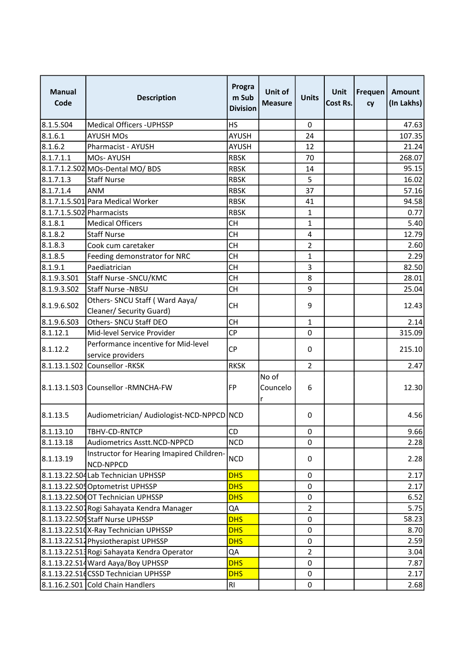| <b>Manual</b><br>Code     | <b>Description</b>                                       | Progra<br>m Sub<br><b>Division</b> | Unit of<br><b>Measure</b> | <b>Units</b>     | <b>Unit</b><br>Cost Rs. | Frequen<br>cy | Amount<br>(In Lakhs) |
|---------------------------|----------------------------------------------------------|------------------------------------|---------------------------|------------------|-------------------------|---------------|----------------------|
| 8.1.5.504                 | Medical Officers - UPHSSP                                | <b>HS</b>                          |                           | $\mathbf 0$      |                         |               | 47.63                |
| 8.1.6.1                   | <b>AYUSH MOs</b>                                         | <b>AYUSH</b>                       |                           | 24               |                         |               | 107.35               |
| 8.1.6.2                   | Pharmacist - AYUSH                                       | <b>AYUSH</b>                       |                           | 12               |                         |               | 21.24                |
| 8.1.7.1.1                 | MOs-AYUSH                                                | <b>RBSK</b>                        |                           | 70               |                         |               | 268.07               |
|                           | 8.1.7.1.2.S02 MOs-Dental MO/ BDS                         | <b>RBSK</b>                        |                           | 14               |                         |               | 95.15                |
| 8.1.7.1.3                 | <b>Staff Nurse</b>                                       | <b>RBSK</b>                        |                           | 5                |                         |               | 16.02                |
| 8.1.7.1.4                 | <b>ANM</b>                                               | <b>RBSK</b>                        |                           | 37               |                         |               | 57.16                |
|                           | 8.1.7.1.5.S01 Para Medical Worker                        | <b>RBSK</b>                        |                           | 41               |                         |               | 94.58                |
| 8.1.7.1.5.S02 Pharmacists |                                                          | <b>RBSK</b>                        |                           | $\mathbf{1}$     |                         |               | 0.77                 |
| 8.1.8.1                   | <b>Medical Officers</b>                                  | <b>CH</b>                          |                           | $\mathbf{1}$     |                         |               | 5.40                 |
| 8.1.8.2                   | <b>Staff Nurse</b>                                       | <b>CH</b>                          |                           | $\overline{4}$   |                         |               | 12.79                |
| 8.1.8.3                   | Cook cum caretaker                                       | <b>CH</b>                          |                           | $\overline{2}$   |                         |               | 2.60                 |
| 8.1.8.5                   | Feeding demonstrator for NRC                             | <b>CH</b>                          |                           | $\mathbf{1}$     |                         |               | 2.29                 |
| 8.1.9.1                   | Paediatrician                                            | <b>CH</b>                          |                           | 3                |                         |               | 82.50                |
| 8.1.9.3.501               | Staff Nurse - SNCU/KMC                                   | <b>CH</b>                          |                           | 8                |                         |               | 28.01                |
| 8.1.9.3.SO2               | Staff Nurse -NBSU                                        | <b>CH</b>                          |                           | 9                |                         |               | 25.04                |
|                           | Others- SNCU Staff (Ward Aaya/                           |                                    |                           |                  |                         |               |                      |
| 8.1.9.6.SO <sub>2</sub>   | Cleaner/ Security Guard)                                 | <b>CH</b>                          |                           | 9                |                         |               | 12.43                |
| 8.1.9.6.503               | Others- SNCU Staff DEO                                   | <b>CH</b>                          |                           | $\mathbf{1}$     |                         |               | 2.14                 |
| 8.1.12.1                  | Mid-level Service Provider                               | <b>CP</b>                          |                           | $\boldsymbol{0}$ |                         |               | 315.09               |
| 8.1.12.2                  | Performance incentive for Mid-level<br>service providers | <b>CP</b>                          |                           | $\pmb{0}$        |                         |               | 215.10               |
|                           | 8.1.13.1.S02 Counsellor -RKSK                            | <b>RKSK</b>                        |                           | $\overline{2}$   |                         |               | 2.47                 |
|                           | 8.1.13.1.S03 Counsellor -RMNCHA-FW                       | <b>FP</b>                          | No of<br>Councelo<br>r    | 6                |                         |               | 12.30                |
| 8.1.13.5                  | Audiometrician/ Audiologist-NCD-NPPCD NCD                |                                    |                           | 0                |                         |               | 4.56                 |
| 8.1.13.10                 | TBHV-CD-RNTCP                                            | CD                                 |                           | $\pmb{0}$        |                         |               | 9.66                 |
| 8.1.13.18                 | <b>Audiometrics Asstt.NCD-NPPCD</b>                      | <b>NCD</b>                         |                           | 0                |                         |               | 2.28                 |
| 8.1.13.19                 | Instructor for Hearing Imapired Children-<br>NCD-NPPCD   | <b>NCD</b>                         |                           | 0                |                         |               | 2.28                 |
|                           | 8.1.13.22.S04Lab Technician UPHSSP                       | <b>DHS</b>                         |                           | 0                |                         |               | 2.17                 |
|                           | 8.1.13.22.S05 Optometrist UPHSSP                         | <b>DHS</b>                         |                           | 0                |                         |               | 2.17                 |
|                           | 8.1.13.22.S0dOT Technician UPHSSP                        | <b>DHS</b>                         |                           | 0                |                         |               | 6.52                 |
|                           | 8.1.13.22.S07 Rogi Sahayata Kendra Manager               | QA                                 |                           | $\overline{2}$   |                         |               | 5.75                 |
|                           | 8.1.13.22.S09Staff Nurse UPHSSP                          | <b>DHS</b>                         |                           | $\pmb{0}$        |                         |               | 58.23                |
|                           | 8.1.13.22.S10X-Ray Technician UPHSSP                     | <b>DHS</b>                         |                           | 0                |                         |               | 8.70                 |
|                           | 8.1.13.22.S14 Physiotherapist UPHSSP                     | <b>DHS</b>                         |                           | $\pmb{0}$        |                         |               | 2.59                 |
|                           | 8.1.13.22.S13Rogi Sahayata Kendra Operator               | QA                                 |                           | $\overline{2}$   |                         |               | 3.04                 |
|                           | 8.1.13.22.S14 Ward Aaya/Boy UPHSSP                       | <b>DHS</b>                         |                           | 0                |                         |               | 7.87                 |
|                           | 8.1.13.22.S1dCSSD Technician UPHSSP                      | <b>DHS</b>                         |                           | 0                |                         |               | 2.17                 |
|                           | 8.1.16.2.S01 Cold Chain Handlers                         | R1                                 |                           | 0                |                         |               | 2.68                 |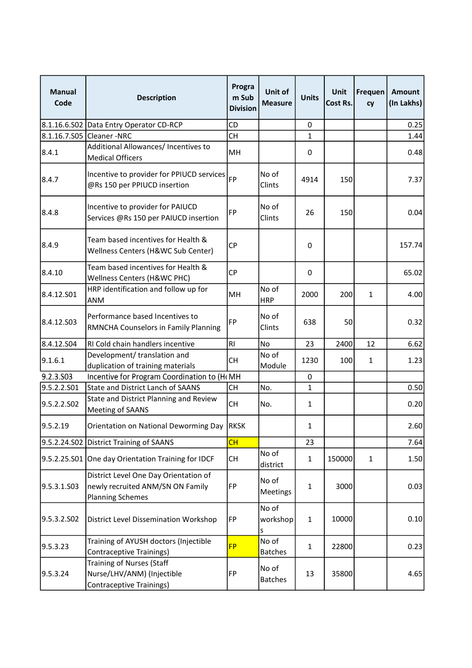| <b>Manual</b><br>Code | <b>Description</b>                                                                                   | Progra<br>m Sub<br><b>Division</b> | Unit of<br><b>Measure</b> | <b>Units</b>     | <b>Unit</b><br>Cost Rs. | Frequen<br>cy | Amount<br>(In Lakhs) |
|-----------------------|------------------------------------------------------------------------------------------------------|------------------------------------|---------------------------|------------------|-------------------------|---------------|----------------------|
|                       | 8.1.16.6.S02 Data Entry Operator CD-RCP                                                              | CD                                 |                           | $\boldsymbol{0}$ |                         |               | 0.25                 |
|                       | 8.1.16.7.S05 Cleaner - NRC                                                                           | <b>CH</b>                          |                           | $\mathbf{1}$     |                         |               | 1.44                 |
| 8.4.1                 | Additional Allowances/ Incentives to<br><b>Medical Officers</b>                                      | MH                                 |                           | 0                |                         |               | 0.48                 |
| 8.4.7                 | Incentive to provider for PPIUCD services<br>@Rs 150 per PPIUCD insertion                            | <b>FP</b>                          | No of<br>Clints           | 4914             | 150                     |               | 7.37                 |
| 8.4.8                 | Incentive to provider for PAIUCD<br>Services @Rs 150 per PAIUCD insertion                            | <b>FP</b>                          | No of<br>Clints           | 26               | 150                     |               | 0.04                 |
| 8.4.9                 | Team based incentives for Health &<br>Wellness Centers (H&WC Sub Center)                             | <b>CP</b>                          |                           | 0                |                         |               | 157.74               |
| 8.4.10                | Team based incentives for Health &<br>Wellness Centers (H&WC PHC)                                    | <b>CP</b>                          |                           | 0                |                         |               | 65.02                |
| 8.4.12.S01            | HRP identification and follow up for<br><b>ANM</b>                                                   | MH                                 | No of<br><b>HRP</b>       | 2000             | 200                     | $\mathbf{1}$  | 4.00                 |
| 8.4.12.S03            | Performance based Incentives to<br>RMNCHA Counselors in Family Planning                              | <b>FP</b>                          | No of<br>Clints           | 638              | 50                      |               | 0.32                 |
| 8.4.12.S04            | RI Cold chain handlers incentive                                                                     | <b>RI</b>                          | No                        | 23               | 2400                    | 12            | 6.62                 |
| 9.1.6.1               | Development/ translation and<br>duplication of training materials                                    | СH                                 | No of<br>Module           | 1230             | 100                     | 1             | 1.23                 |
| 9.2.3.S03             | Incentive for Program Coordination to (H(MH                                                          |                                    |                           | 0                |                         |               |                      |
| 9.5.2.2.S01           | <b>State and District Lanch of SAANS</b>                                                             | <b>CH</b>                          | No.                       | $\mathbf{1}$     |                         |               | 0.50                 |
| 9.5.2.2.502           | State and District Planning and Review<br>Meeting of SAANS                                           | <b>CH</b>                          | No.                       | $\mathbf{1}$     |                         |               | 0.20                 |
| 9.5.2.19              | Orientation on National Deworming Day  RKSK                                                          |                                    |                           | 1                |                         |               | 2.60                 |
|                       | 9.5.2.24.S02 District Training of SAANS                                                              | CH                                 |                           | 23               |                         |               | 7.64                 |
|                       | 9.5.2.25.S01 One day Orientation Training for IDCF                                                   | <b>CH</b>                          | No of<br>district         | $\mathbf{1}$     | 150000                  | $\mathbf{1}$  | 1.50                 |
| 9.5.3.1.S03           | District Level One Day Orientation of<br>newly recruited ANM/SN ON Family<br><b>Planning Schemes</b> | FP                                 | No of<br>Meetings         | $\mathbf{1}$     | 3000                    |               | 0.03                 |
| 9.5.3.2.SO2           | District Level Dissemination Workshop                                                                | <b>FP</b>                          | No of<br>workshop<br>S    | $\mathbf 1$      | 10000                   |               | 0.10                 |
| 9.5.3.23              | Training of AYUSH doctors (Injectible<br><b>Contraceptive Trainings)</b>                             | <b>FP</b>                          | No of<br><b>Batches</b>   | $\mathbf{1}$     | 22800                   |               | 0.23                 |
| 9.5.3.24              | <b>Training of Nurses (Staff</b><br>Nurse/LHV/ANM) (Injectible<br><b>Contraceptive Trainings)</b>    | <b>FP</b>                          | No of<br><b>Batches</b>   | 13               | 35800                   |               | 4.65                 |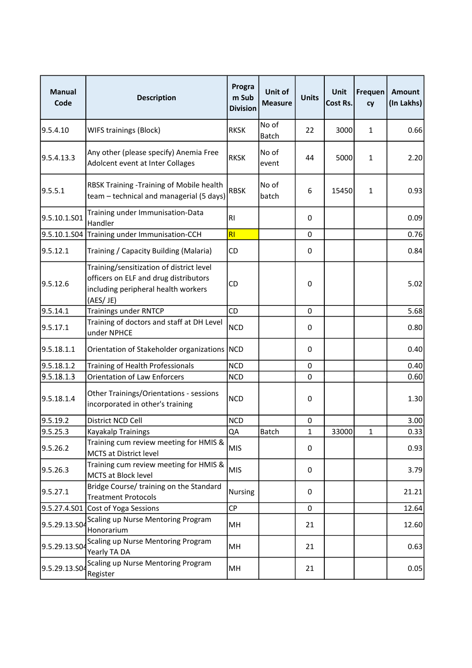| <b>Manual</b><br>Code | <b>Description</b>                                                                                                                   | Progra<br>m Sub<br><b>Division</b> | Unit of<br><b>Measure</b> | <b>Units</b>     | Unit<br>Cost Rs. | Frequen<br>cy | <b>Amount</b><br>(In Lakhs) |
|-----------------------|--------------------------------------------------------------------------------------------------------------------------------------|------------------------------------|---------------------------|------------------|------------------|---------------|-----------------------------|
| 9.5.4.10              | <b>WIFS trainings (Block)</b>                                                                                                        | <b>RKSK</b>                        | No of<br><b>Batch</b>     | 22               | 3000             | $\mathbf{1}$  | 0.66                        |
| 9.5.4.13.3            | Any other (please specify) Anemia Free<br>Adolcent event at Inter Collages                                                           | <b>RKSK</b>                        | No of<br>event            | 44               | 5000             | 1             | 2.20                        |
| 9.5.5.1               | RBSK Training -Training of Mobile health<br>team - technical and managerial (5 days)                                                 | <b>RBSK</b>                        | No of<br>batch            | 6                | 15450            | 1             | 0.93                        |
| 9.5.10.1.S01          | Training under Immunisation-Data<br>Handler                                                                                          | R <sub>l</sub>                     |                           | 0                |                  |               | 0.09                        |
|                       | 9.5.10.1.S04 Training under Immunisation-CCH                                                                                         | RI                                 |                           | 0                |                  |               | 0.76                        |
| 9.5.12.1              | Training / Capacity Building (Malaria)                                                                                               | CD                                 |                           | 0                |                  |               | 0.84                        |
| 9.5.12.6              | Training/sensitization of district level<br>officers on ELF and drug distributors<br>including peripheral health workers<br>(AES/JE) | CD                                 |                           | 0                |                  |               | 5.02                        |
| 9.5.14.1              | <b>Trainings under RNTCP</b>                                                                                                         | CD                                 |                           | $\Omega$         |                  |               | 5.68                        |
| 9.5.17.1              | Training of doctors and staff at DH Level<br>under NPHCE                                                                             | <b>NCD</b>                         |                           | 0                |                  |               | 0.80                        |
| 9.5.18.1.1            | Orientation of Stakeholder organizations NCD                                                                                         |                                    |                           | $\boldsymbol{0}$ |                  |               | 0.40                        |
| 9.5.18.1.2            | Training of Health Professionals                                                                                                     | <b>NCD</b>                         |                           | 0                |                  |               | 0.40                        |
| 9.5.18.1.3            | <b>Orientation of Law Enforcers</b>                                                                                                  | <b>NCD</b>                         |                           | 0                |                  |               | 0.60                        |
| 9.5.18.1.4            | Other Trainings/Orientations - sessions<br>incorporated in other's training                                                          | <b>NCD</b>                         |                           | 0                |                  |               | 1.30                        |
| 9.5.19.2              | District NCD Cell                                                                                                                    | <b>NCD</b>                         |                           | 0                |                  |               | 3.00                        |
| 9.5.25.3              | Kayakalp Trainings                                                                                                                   | QA                                 | Batch                     | 1                | 33000            | 1             | 0.33                        |
| 9.5.26.2              | Training cum review meeting for HMIS &<br>MCTS at District level                                                                     | <b>MIS</b>                         |                           | 0                |                  |               | 0.93                        |
| 9.5.26.3              | Training cum review meeting for HMIS &<br>MCTS at Block level                                                                        | <b>MIS</b>                         |                           | 0                |                  |               | 3.79                        |
| 9.5.27.1              | Bridge Course/ training on the Standard<br><b>Treatment Protocols</b>                                                                | <b>Nursing</b>                     |                           | 0                |                  |               | 21.21                       |
| 9.5.27.4.S01          | Cost of Yoga Sessions                                                                                                                | <b>CP</b>                          |                           | 0                |                  |               | 12.64                       |
| 9.5.29.13.SO          | Scaling up Nurse Mentoring Program<br>Honorarium                                                                                     | MH                                 |                           | 21               |                  |               | 12.60                       |
| 9.5.29.13.SO          | Scaling up Nurse Mentoring Program<br>Yearly TA DA                                                                                   | MH                                 |                           | 21               |                  |               | 0.63                        |
| 9.5.29.13.SO4         | Scaling up Nurse Mentoring Program<br>Register                                                                                       | MH                                 |                           | 21               |                  |               | 0.05                        |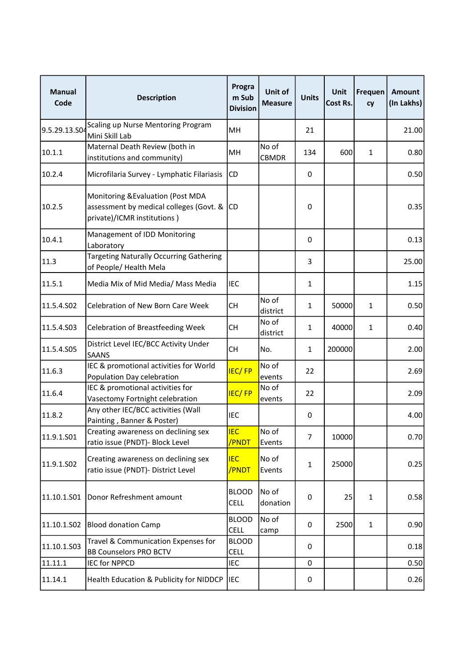| <b>Manual</b><br>Code | <b>Description</b>                                                                                           | Progra<br>m Sub<br><b>Division</b> | Unit of<br><b>Measure</b> | <b>Units</b> | Unit<br>Cost Rs. | Frequen<br>cy | Amount<br>(In Lakhs) |
|-----------------------|--------------------------------------------------------------------------------------------------------------|------------------------------------|---------------------------|--------------|------------------|---------------|----------------------|
| 9.5.29.13.SO          | Scaling up Nurse Mentoring Program<br>Mini Skill Lab                                                         | MH                                 |                           | 21           |                  |               | 21.00                |
| 10.1.1                | Maternal Death Review (both in<br>institutions and community)                                                | MН                                 | No of<br><b>CBMDR</b>     | 134          | 600              | $\mathbf{1}$  | 0.80                 |
| 10.2.4                | Microfilaria Survey - Lymphatic Filariasis                                                                   | CD                                 |                           | 0            |                  |               | 0.50                 |
| 10.2.5                | Monitoring & Evaluation (Post MDA<br>assessment by medical colleges (Govt. &<br>private)/ICMR institutions ) | <b>CD</b>                          |                           | 0            |                  |               | 0.35                 |
| 10.4.1                | Management of IDD Monitoring<br>Laboratory                                                                   |                                    |                           | 0            |                  |               | 0.13                 |
| 11.3                  | Targeting Naturally Occurring Gathering<br>of People/ Health Mela                                            |                                    |                           | 3            |                  |               | 25.00                |
| 11.5.1                | Media Mix of Mid Media/ Mass Media                                                                           | <b>IEC</b>                         |                           | $\mathbf{1}$ |                  |               | 1.15                 |
| 11.5.4.S02            | Celebration of New Born Care Week                                                                            | <b>CH</b>                          | No of<br>district         | 1            | 50000            | 1             | 0.50                 |
| 11.5.4.S03            | <b>Celebration of Breastfeeding Week</b>                                                                     | CН                                 | No of<br>district         | $\mathbf{1}$ | 40000            | $\mathbf{1}$  | 0.40                 |
| 11.5.4.S05            | District Level IEC/BCC Activity Under<br><b>SAANS</b>                                                        | <b>CH</b>                          | No.                       | $\mathbf{1}$ | 200000           |               | 2.00                 |
| 11.6.3                | IEC & promotional activities for World<br>Population Day celebration                                         | <b>IEC/FP</b>                      | No of<br>events           | 22           |                  |               | 2.69                 |
| 11.6.4                | IEC & promotional activities for<br>Vasectomy Fortnight celebration                                          | <b>IEC/FP</b>                      | No of<br>events           | 22           |                  |               | 2.09                 |
| 11.8.2                | Any other IEC/BCC activities (Wall<br>Painting, Banner & Poster)                                             | <b>IEC</b>                         |                           | 0            |                  |               | 4.00                 |
| 11.9.1.S01            | Creating awareness on declining sex<br>ratio issue (PNDT)- Block Level                                       | <b>IEC</b><br>/PNDT                | No of<br>Events           | 7            | 10000            |               | 0.70                 |
| 11.9.1.S02            | Creating awareness on declining sex<br>ratio issue (PNDT)- District Level                                    | <b>IEC</b><br>/PNDT                | No of<br>Events           | $\mathbf{1}$ | 25000            |               | 0.25                 |
| 11.10.1.501           | Donor Refreshment amount                                                                                     | <b>BLOOD</b><br><b>CELL</b>        | No of<br>donation         | 0            | 25               | 1             | 0.58                 |
| 11.10.1.502           | <b>Blood donation Camp</b>                                                                                   | <b>BLOOD</b><br>CELL               | No of<br>camp             | 0            | 2500             | 1             | 0.90                 |
| 11.10.1.503           | Travel & Communication Expenses for<br><b>BB Counselors PRO BCTV</b>                                         | <b>BLOOD</b><br><b>CELL</b>        |                           | 0            |                  |               | 0.18                 |
| 11.11.1               | <b>IEC for NPPCD</b>                                                                                         | <b>IEC</b>                         |                           | 0            |                  |               | 0.50                 |
| 11.14.1               | Health Education & Publicity for NIDDCP                                                                      | <b>IEC</b>                         |                           | 0            |                  |               | 0.26                 |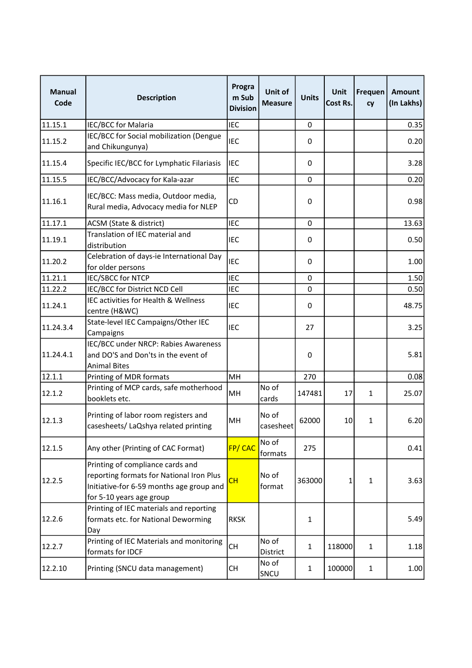| <b>Manual</b><br>Code | <b>Description</b>                                                                                                                                   | Progra<br>m Sub<br><b>Division</b> | Unit of<br><b>Measure</b> | <b>Units</b>     | Unit<br>Cost Rs. | Frequen<br><b>cy</b> | Amount<br>(In Lakhs) |
|-----------------------|------------------------------------------------------------------------------------------------------------------------------------------------------|------------------------------------|---------------------------|------------------|------------------|----------------------|----------------------|
| 11.15.1               | <b>IEC/BCC for Malaria</b>                                                                                                                           | <b>IEC</b>                         |                           | 0                |                  |                      | 0.35                 |
| 11.15.2               | IEC/BCC for Social mobilization (Dengue<br>and Chikungunya)                                                                                          | <b>IEC</b>                         |                           | 0                |                  |                      | 0.20                 |
| 11.15.4               | Specific IEC/BCC for Lymphatic Filariasis                                                                                                            | <b>IEC</b>                         |                           | 0                |                  |                      | 3.28                 |
| 11.15.5               | IEC/BCC/Advocacy for Kala-azar                                                                                                                       | <b>IEC</b>                         |                           | $\mathbf 0$      |                  |                      | 0.20                 |
| 11.16.1               | IEC/BCC: Mass media, Outdoor media,<br>Rural media, Advocacy media for NLEP                                                                          | CD                                 |                           | 0                |                  |                      | 0.98                 |
| 11.17.1               | ACSM (State & district)                                                                                                                              | <b>IEC</b>                         |                           | 0                |                  |                      | 13.63                |
| 11.19.1               | Translation of IEC material and<br>distribution                                                                                                      | <b>IEC</b>                         |                           | 0                |                  |                      | 0.50                 |
| 11.20.2               | Celebration of days-ie International Day<br>for older persons                                                                                        | <b>IEC</b>                         |                           | 0                |                  |                      | 1.00                 |
| 11.21.1               | <b>IEC/SBCC for NTCP</b>                                                                                                                             | <b>IEC</b>                         |                           | $\Omega$         |                  |                      | 1.50                 |
| 11.22.2               | IEC/BCC for District NCD Cell                                                                                                                        | <b>IEC</b>                         |                           | $\mathbf 0$      |                  |                      | 0.50                 |
| 11.24.1               | IEC activities for Health & Wellness<br>centre (H&WC)                                                                                                | <b>IEC</b>                         |                           | 0                |                  |                      | 48.75                |
| 11.24.3.4             | State-level IEC Campaigns/Other IEC<br>Campaigns                                                                                                     | <b>IEC</b>                         |                           | 27               |                  |                      | 3.25                 |
| 11.24.4.1             | IEC/BCC under NRCP: Rabies Awareness<br>and DO'S and Don'ts in the event of<br><b>Animal Bites</b>                                                   |                                    |                           | $\boldsymbol{0}$ |                  |                      | 5.81                 |
| 12.1.1                | Printing of MDR formats                                                                                                                              | MH                                 |                           | 270              |                  |                      | 0.08                 |
| 12.1.2                | Printing of MCP cards, safe motherhood<br>booklets etc.                                                                                              | MH                                 | No of<br>cards            | 147481           | 17               | $\mathbf{1}$         | 25.07                |
| 12.1.3                | Printing of labor room registers and<br>casesheets/ LaQshya related printing                                                                         | MH                                 | No of<br>casesheet        | 62000            | 10               | 1                    | 6.20                 |
| 12.1.5                | Any other (Printing of CAC Format)                                                                                                                   | FP/CAC                             | No of<br>formats          | 275              |                  |                      | 0.41                 |
| 12.2.5                | Printing of compliance cards and<br>reporting formats for National Iron Plus<br>Initiative-for 6-59 months age group and<br>for 5-10 years age group | CH                                 | No of<br>format           | 363000           | 1                | 1                    | 3.63                 |
| 12.2.6                | Printing of IEC materials and reporting<br>formats etc. for National Deworming<br>Day                                                                | <b>RKSK</b>                        |                           | $\mathbf{1}$     |                  |                      | 5.49                 |
| 12.2.7                | Printing of IEC Materials and monitoring<br>formats for IDCF                                                                                         | <b>CH</b>                          | No of<br>District         | $\mathbf{1}$     | 118000           | $\mathbf{1}$         | 1.18                 |
| 12.2.10               | Printing (SNCU data management)                                                                                                                      | <b>CH</b>                          | No of<br>SNCU             | $\mathbf{1}$     | 100000           | $\mathbf{1}$         | 1.00                 |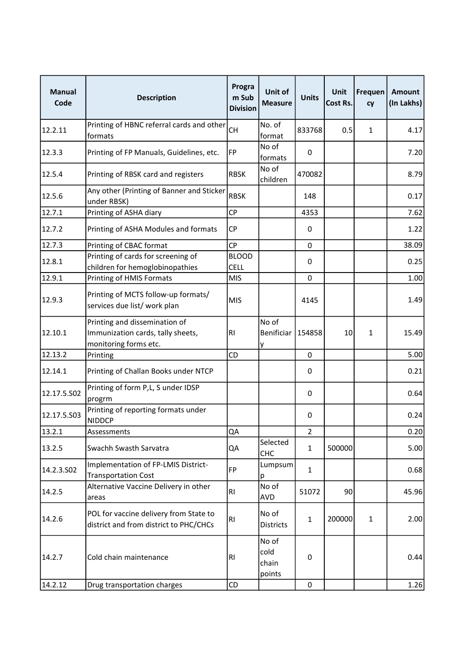| <b>Manual</b><br>Code | <b>Description</b>                                                                          | Progra<br>m Sub<br><b>Division</b> | Unit of<br><b>Measure</b>        | <b>Units</b>     | Unit<br>Cost Rs. | Frequen<br>cy | Amount<br>(In Lakhs) |
|-----------------------|---------------------------------------------------------------------------------------------|------------------------------------|----------------------------------|------------------|------------------|---------------|----------------------|
| 12.2.11               | Printing of HBNC referral cards and other<br>formats                                        | <b>CH</b>                          | No. of<br>format                 | 833768           | 0.5              | $\mathbf{1}$  | 4.17                 |
| 12.3.3                | Printing of FP Manuals, Guidelines, etc.                                                    | <b>FP</b>                          | No of<br>formats                 | 0                |                  |               | 7.20                 |
| 12.5.4                | Printing of RBSK card and registers                                                         | <b>RBSK</b>                        | No of<br>children                | 470082           |                  |               | 8.79                 |
| 12.5.6                | Any other (Printing of Banner and Sticker<br>under RBSK)                                    | <b>RBSK</b>                        |                                  | 148              |                  |               | 0.17                 |
| 12.7.1                | Printing of ASHA diary                                                                      | <b>CP</b>                          |                                  | 4353             |                  |               | 7.62                 |
| 12.7.2                | Printing of ASHA Modules and formats                                                        | СP                                 |                                  | 0                |                  |               | 1.22                 |
| 12.7.3                | Printing of CBAC format                                                                     | <b>CP</b>                          |                                  | 0                |                  |               | 38.09                |
| 12.8.1                | Printing of cards for screening of<br>children for hemoglobinopathies                       | <b>BLOOD</b><br><b>CELL</b>        |                                  | 0                |                  |               | 0.25                 |
| 12.9.1                | Printing of HMIS Formats                                                                    | <b>MIS</b>                         |                                  | 0                |                  |               | 1.00                 |
| 12.9.3                | Printing of MCTS follow-up formats/<br>services due list/ work plan                         | <b>MIS</b>                         |                                  | 4145             |                  |               | 1.49                 |
| 12.10.1               | Printing and dissemination of<br>Immunization cards, tally sheets,<br>monitoring forms etc. | <b>RI</b>                          | No of<br>Benificiar<br>у         | 154858           | 10               | 1             | 15.49                |
| 12.13.2               | Printing                                                                                    | CD                                 |                                  | 0                |                  |               | 5.00                 |
| 12.14.1               | Printing of Challan Books under NTCP                                                        |                                    |                                  | 0                |                  |               | 0.21                 |
| 12.17.5.502           | Printing of form P,L, S under IDSP<br>progrm                                                |                                    |                                  | 0                |                  |               | 0.64                 |
| 12.17.5.503           | Printing of reporting formats under<br><b>NIDDCP</b>                                        |                                    |                                  | 0                |                  |               | 0.24                 |
| 13.2.1                | Assessments                                                                                 | QA                                 |                                  | 2                |                  |               | 0.20                 |
| 13.2.5                | Swachh Swasth Sarvatra                                                                      | QA                                 | Selected<br><b>CHC</b>           | $\mathbf{1}$     | 500000           |               | 5.00                 |
| 14.2.3.S02            | Implementation of FP-LMIS District-<br><b>Transportation Cost</b>                           | <b>FP</b>                          | Lumpsum<br>р                     | $\mathbf{1}$     |                  |               | 0.68                 |
| 14.2.5                | Alternative Vaccine Delivery in other<br>areas                                              | <b>RI</b>                          | No of<br>AVD                     | 51072            | 90               |               | 45.96                |
| 14.2.6                | POL for vaccine delivery from State to<br>district and from district to PHC/CHCs            | RI                                 | No of<br><b>Districts</b>        | $\mathbf{1}$     | 200000           | $\mathbf{1}$  | 2.00                 |
| 14.2.7                | Cold chain maintenance                                                                      | RI                                 | No of<br>cold<br>chain<br>points | 0                |                  |               | 0.44                 |
| 14.2.12               | Drug transportation charges                                                                 | CD                                 |                                  | $\boldsymbol{0}$ |                  |               | 1.26                 |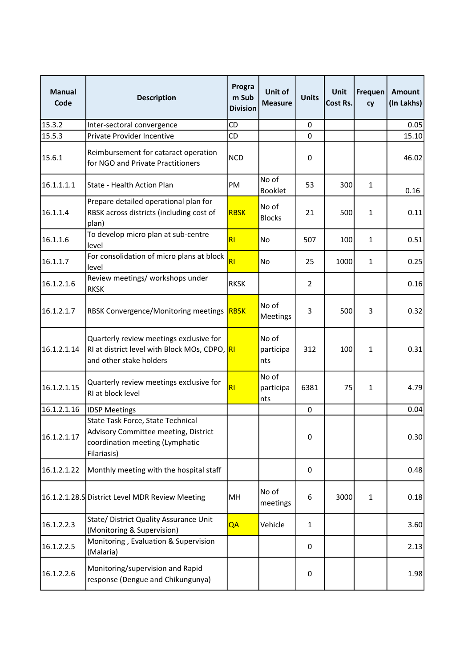| <b>Manual</b><br>Code | <b>Description</b>                                                                                                          | Progra<br>m Sub<br><b>Division</b> | Unit of<br><b>Measure</b> | <b>Units</b>   | <b>Unit</b><br>Cost Rs. | Frequen<br><b>cy</b> | Amount<br>(In Lakhs) |
|-----------------------|-----------------------------------------------------------------------------------------------------------------------------|------------------------------------|---------------------------|----------------|-------------------------|----------------------|----------------------|
| 15.3.2                | Inter-sectoral convergence                                                                                                  | CD                                 |                           | 0              |                         |                      | 0.05                 |
| 15.5.3                | Private Provider Incentive                                                                                                  | CD                                 |                           | $\mathbf 0$    |                         |                      | 15.10                |
| 15.6.1                | Reimbursement for cataract operation<br>for NGO and Private Practitioners                                                   | <b>NCD</b>                         |                           | 0              |                         |                      | 46.02                |
| 16.1.1.1.1            | State - Health Action Plan                                                                                                  | PM                                 | No of<br><b>Booklet</b>   | 53             | 300                     | 1                    | 0.16                 |
| 16.1.1.4              | Prepare detailed operational plan for<br>RBSK across districts (including cost of<br>plan)                                  | <b>RBSK</b>                        | No of<br><b>Blocks</b>    | 21             | 500                     | 1                    | 0.11                 |
| 16.1.1.6              | To develop micro plan at sub-centre<br>level                                                                                | RI                                 | No.                       | 507            | 100                     | $\mathbf{1}$         | 0.51                 |
| 16.1.1.7              | For consolidation of micro plans at block<br>level                                                                          | RI                                 | <b>No</b>                 | 25             | 1000                    | $\mathbf{1}$         | 0.25                 |
| 16.1.2.1.6            | Review meetings/ workshops under<br><b>RKSK</b>                                                                             | <b>RKSK</b>                        |                           | $\overline{2}$ |                         |                      | 0.16                 |
| 16.1.2.1.7            | RBSK Convergence/Monitoring meetings                                                                                        | <b>RBSK</b>                        | No of<br>Meetings         | 3              | 500                     | 3                    | 0.32                 |
| 16.1.2.1.14           | Quarterly review meetings exclusive for<br>RI at district level with Block MOs, CDPO, RI<br>and other stake holders         |                                    | No of<br>participa<br>nts | 312            | 100                     | $\mathbf{1}$         | 0.31                 |
| 16.1.2.1.15           | Quarterly review meetings exclusive for<br>RI at block level                                                                | R1                                 | No of<br>participa<br>nts | 6381           | 75                      | 1                    | 4.79                 |
| 16.1.2.1.16           | <b>IDSP Meetings</b>                                                                                                        |                                    |                           | $\pmb{0}$      |                         |                      | 0.04                 |
| 16.1.2.1.17           | State Task Force, State Technical<br>Advisory Committee meeting, District<br>coordination meeting (Lymphatic<br>Filariasis) |                                    |                           | 0              |                         |                      | 0.30                 |
| 16.1.2.1.22           | Monthly meeting with the hospital staff                                                                                     |                                    |                           | $\pmb{0}$      |                         |                      | 0.48                 |
|                       | 16.1.2.1.28.S District Level MDR Review Meeting                                                                             | MH                                 | No of<br>meetings         | 6              | 3000                    | $\mathbf{1}$         | 0.18                 |
| 16.1.2.2.3            | State/ District Quality Assurance Unit<br>(Monitoring & Supervision)                                                        | QA                                 | Vehicle                   | $\mathbf{1}$   |                         |                      | 3.60                 |
| 16.1.2.2.5            | Monitoring, Evaluation & Supervision<br>(Malaria)                                                                           |                                    |                           | 0              |                         |                      | 2.13                 |
| 16.1.2.2.6            | Monitoring/supervision and Rapid<br>response (Dengue and Chikungunya)                                                       |                                    |                           | 0              |                         |                      | 1.98                 |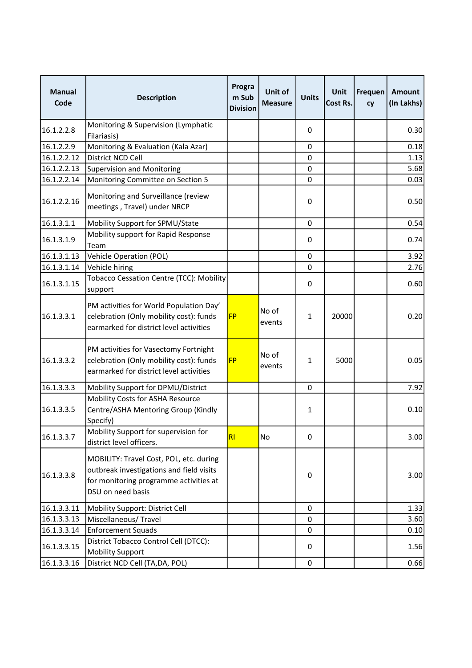| <b>Manual</b><br>Code | <b>Description</b>                                                                                                                                 | Progra<br>m Sub<br><b>Division</b> | Unit of<br><b>Measure</b> | <b>Units</b> | Unit<br>Cost Rs. | Frequen<br>cy | Amount<br>(In Lakhs) |
|-----------------------|----------------------------------------------------------------------------------------------------------------------------------------------------|------------------------------------|---------------------------|--------------|------------------|---------------|----------------------|
| 16.1.2.2.8            | Monitoring & Supervision (Lymphatic<br>Filariasis)                                                                                                 |                                    |                           | 0            |                  |               | 0.30                 |
| 16.1.2.2.9            | Monitoring & Evaluation (Kala Azar)                                                                                                                |                                    |                           | $\mathbf 0$  |                  |               | 0.18                 |
| 16.1.2.2.12           | District NCD Cell                                                                                                                                  |                                    |                           | 0            |                  |               | 1.13                 |
| 16.1.2.2.13           | <b>Supervision and Monitoring</b>                                                                                                                  |                                    |                           | 0            |                  |               | 5.68                 |
| 16.1.2.2.14           | Monitoring Committee on Section 5                                                                                                                  |                                    |                           | $\mathbf 0$  |                  |               | 0.03                 |
| 16.1.2.2.16           | Monitoring and Surveillance (review<br>meetings, Travel) under NRCP                                                                                |                                    |                           | 0            |                  |               | 0.50                 |
| 16.1.3.1.1            | Mobility Support for SPMU/State                                                                                                                    |                                    |                           | 0            |                  |               | 0.54                 |
| 16.1.3.1.9            | Mobility support for Rapid Response<br>Team                                                                                                        |                                    |                           | 0            |                  |               | 0.74                 |
| 16.1.3.1.13           | <b>Vehicle Operation (POL)</b>                                                                                                                     |                                    |                           | $\pmb{0}$    |                  |               | 3.92                 |
| 16.1.3.1.14           | Vehicle hiring                                                                                                                                     |                                    |                           | 0            |                  |               | 2.76                 |
| 16.1.3.1.15           | Tobacco Cessation Centre (TCC): Mobility<br>support                                                                                                |                                    |                           | 0            |                  |               | 0.60                 |
| 16.1.3.3.1            | PM activities for World Population Day'<br>celebration (Only mobility cost): funds<br>earmarked for district level activities                      | <b>FP</b>                          | No of<br>events           | $\mathbf{1}$ | 20000            |               | 0.20                 |
| 16.1.3.3.2            | PM activities for Vasectomy Fortnight<br>celebration (Only mobility cost): funds<br>earmarked for district level activities                        | <b>FP</b>                          | No of<br>events           | 1            | 5000             |               | 0.05                 |
| 16.1.3.3.3            | Mobility Support for DPMU/District                                                                                                                 |                                    |                           | $\Omega$     |                  |               | 7.92                 |
| 16.1.3.3.5            | Mobility Costs for ASHA Resource<br>Centre/ASHA Mentoring Group (Kindly<br>Specify)                                                                |                                    |                           | $\mathbf{1}$ |                  |               | 0.10                 |
| 16.1.3.3.7            | Mobility Support for supervision for<br>district level officers.                                                                                   | RI                                 | No                        | 0            |                  |               | 3.00                 |
| 16.1.3.3.8            | MOBILITY: Travel Cost, POL, etc. during<br>outbreak investigations and field visits<br>for monitoring programme activities at<br>DSU on need basis |                                    |                           | 0            |                  |               | 3.00                 |
| 16.1.3.3.11           | Mobility Support: District Cell                                                                                                                    |                                    |                           | 0            |                  |               | 1.33                 |
| 16.1.3.3.13           | Miscellaneous/Travel                                                                                                                               |                                    |                           | 0            |                  |               | 3.60                 |
| 16.1.3.3.14           | Enforcement Squads                                                                                                                                 |                                    |                           | $\Omega$     |                  |               | 0.10                 |
| 16.1.3.3.15           | District Tobacco Control Cell (DTCC):<br>Mobility Support                                                                                          |                                    |                           | 0            |                  |               | 1.56                 |
| 16.1.3.3.16           | District NCD Cell (TA, DA, POL)                                                                                                                    |                                    |                           | $\pmb{0}$    |                  |               | 0.66                 |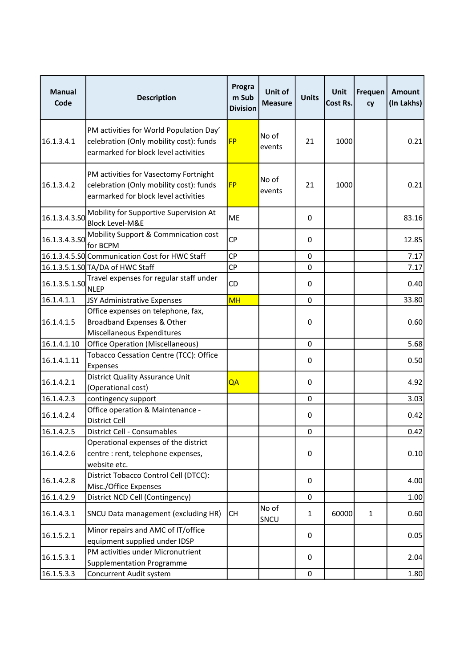| <b>Manual</b><br>Code | <b>Description</b>                                                                                                         | Progra<br>m Sub<br><b>Division</b> | Unit of<br><b>Measure</b> | <b>Units</b> | <b>Unit</b><br>Cost Rs. | Frequen<br>cy | Amount<br>(In Lakhs) |
|-----------------------|----------------------------------------------------------------------------------------------------------------------------|------------------------------------|---------------------------|--------------|-------------------------|---------------|----------------------|
| 16.1.3.4.1            | PM activities for World Population Day'<br>celebration (Only mobility cost): funds<br>earmarked for block level activities | <b>FP</b>                          | No of<br>events           | 21           | 1000                    |               | 0.21                 |
| 16.1.3.4.2            | PM activities for Vasectomy Fortnight<br>celebration (Only mobility cost): funds<br>earmarked for block level activities   | <b>FP</b>                          | No of<br>events           | 21           | 1000                    |               | 0.21                 |
| 16.1.3.4.3.50         | Mobility for Supportive Supervision At<br><b>Block Level-M&amp;E</b>                                                       | <b>ME</b>                          |                           | 0            |                         |               | 83.16                |
| 16.1.3.4.3.50         | Mobility Support & Commnication cost<br>for BCPM                                                                           | <b>CP</b>                          |                           | 0            |                         |               | 12.85                |
|                       | 16.1.3.4.5.S0 Communication Cost for HWC Staff                                                                             | <b>CP</b>                          |                           | 0            |                         |               | 7.17                 |
|                       | 16.1.3.5.1.SO TA/DA of HWC Staff                                                                                           | <b>CP</b>                          |                           | 0            |                         |               | 7.17                 |
| 16.1.3.5.1.SO         | Travel expenses for regular staff under<br><b>NLEP</b>                                                                     | CD                                 |                           | 0            |                         |               | 0.40                 |
| 16.1.4.1.1            | JSY Administrative Expenses                                                                                                | <b>MH</b>                          |                           | $\mathbf 0$  |                         |               | 33.80                |
| 16.1.4.1.5            | Office expenses on telephone, fax,<br>Broadband Expenses & Other<br>Miscellaneous Expenditures                             |                                    |                           | 0            |                         |               | 0.60                 |
| 16.1.4.1.10           | <b>Office Operation (Miscellaneous)</b>                                                                                    |                                    |                           | $\mathbf 0$  |                         |               | 5.68                 |
| 16.1.4.1.11           | Tobacco Cessation Centre (TCC): Office<br>Expenses                                                                         |                                    |                           | 0            |                         |               | 0.50                 |
| 16.1.4.2.1            | <b>District Quality Assurance Unit</b><br>(Operational cost)                                                               | QA                                 |                           | 0            |                         |               | 4.92                 |
| 16.1.4.2.3            | contingency support                                                                                                        |                                    |                           | 0            |                         |               | 3.03                 |
| 16.1.4.2.4            | Office operation & Maintenance -<br>District Cell                                                                          |                                    |                           | 0            |                         |               | 0.42                 |
| 16.1.4.2.5            | District Cell - Consumables                                                                                                |                                    |                           | 0            |                         |               | 0.42                 |
| 16.1.4.2.6            | Operational expenses of the district<br>centre : rent, telephone expenses,<br>website etc.                                 |                                    |                           | 0            |                         |               | 0.10                 |
| 16.1.4.2.8            | District Tobacco Control Cell (DTCC):<br>Misc./Office Expenses                                                             |                                    |                           | 0            |                         |               | 4.00                 |
| 16.1.4.2.9            | District NCD Cell (Contingency)                                                                                            |                                    |                           | $\Omega$     |                         |               | 1.00                 |
| 16.1.4.3.1            | SNCU Data management (excluding HR)                                                                                        | СH                                 | No of<br>SNCU             | $\mathbf{1}$ | 60000                   | $\mathbf{1}$  | 0.60                 |
| 16.1.5.2.1            | Minor repairs and AMC of IT/office<br>equipment supplied under IDSP                                                        |                                    |                           | 0            |                         |               | 0.05                 |
| 16.1.5.3.1            | PM activities under Micronutrient<br><b>Supplementation Programme</b>                                                      |                                    |                           | 0            |                         |               | 2.04                 |
| 16.1.5.3.3            | Concurrent Audit system                                                                                                    |                                    |                           | 0            |                         |               | 1.80                 |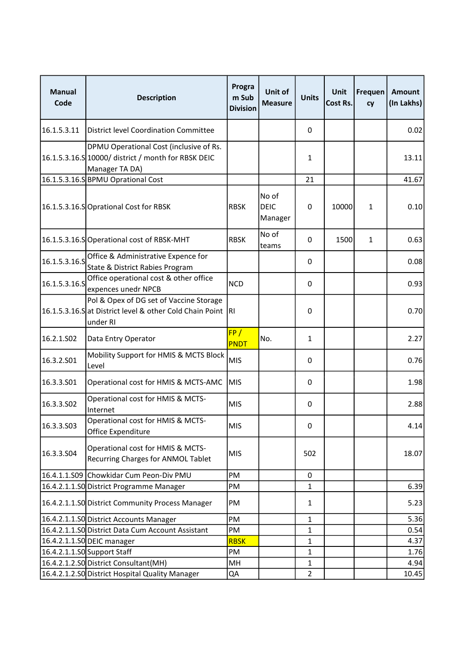| <b>Manual</b><br>Code | <b>Description</b>                                                                                                | Progra<br>m Sub<br><b>Division</b> | <b>Unit of</b><br><b>Measure</b> | <b>Units</b>   | Unit<br>Cost Rs. | Frequen<br>cy | Amount<br>(In Lakhs) |
|-----------------------|-------------------------------------------------------------------------------------------------------------------|------------------------------------|----------------------------------|----------------|------------------|---------------|----------------------|
| 16.1.5.3.11           | District level Coordination Committee                                                                             |                                    |                                  | 0              |                  |               | 0.02                 |
|                       | DPMU Operational Cost (inclusive of Rs.<br>16.1.5.3.16.S 10000/ district / month for RBSK DEIC<br>Manager TA DA)  |                                    |                                  | $\mathbf{1}$   |                  |               | 13.11                |
|                       | 16.1.5.3.16.S BPMU Oprational Cost                                                                                |                                    |                                  | 21             |                  |               | 41.67                |
|                       | 16.1.5.3.16.SOprational Cost for RBSK                                                                             | <b>RBSK</b>                        | No of<br><b>DEIC</b><br>Manager  | 0              | 10000            | 1             | 0.10                 |
|                       | 16.1.5.3.16.SOperational cost of RBSK-MHT                                                                         | <b>RBSK</b>                        | No of<br>teams                   | 0              | 1500             | $\mathbf{1}$  | 0.63                 |
| 16.1.5.3.16.S         | Office & Administrative Expence for<br>State & District Rabies Program                                            |                                    |                                  | 0              |                  |               | 0.08                 |
| 16.1.5.3.16.S         | Office operational cost & other office<br>expences unedr NPCB                                                     | <b>NCD</b>                         |                                  | 0              |                  |               | 0.93                 |
|                       | Pol & Opex of DG set of Vaccine Storage<br>16.1.5.3.16.Sat District level & other Cold Chain Point RI<br>under RI |                                    |                                  | 0              |                  |               | 0.70                 |
| 16.2.1.S02            | Data Entry Operator                                                                                               | FP/<br>PNDT                        | No.                              | $\mathbf{1}$   |                  |               | 2.27                 |
| 16.3.2.S01            | Mobility Support for HMIS & MCTS Block<br>Level                                                                   | <b>MIS</b>                         |                                  | 0              |                  |               | 0.76                 |
| 16.3.3.501            | Operational cost for HMIS & MCTS-AMC                                                                              | <b>MIS</b>                         |                                  | 0              |                  |               | 1.98                 |
| 16.3.3.502            | Operational cost for HMIS & MCTS-<br>Internet                                                                     | <b>MIS</b>                         |                                  | 0              |                  |               | 2.88                 |
| 16.3.3.503            | Operational cost for HMIS & MCTS-<br>Office Expenditure                                                           | <b>MIS</b>                         |                                  | 0              |                  |               | 4.14                 |
| 16.3.3.504            | Operational cost for HMIS & MCTS-<br>Recurring Charges for ANMOL Tablet                                           | <b>MIS</b>                         |                                  | 502            |                  |               | 18.07                |
|                       | 16.4.1.1.S09 Chowkidar Cum Peon-Div PMU                                                                           | PM                                 |                                  | 0              |                  |               |                      |
|                       | 16.4.2.1.1.S0 District Programme Manager                                                                          | PM                                 |                                  | $\mathbf{1}$   |                  |               | 6.39                 |
|                       | 16.4.2.1.1.SO District Community Process Manager                                                                  | PM                                 |                                  | $\mathbf{1}$   |                  |               | 5.23                 |
|                       | 16.4.2.1.1.SO District Accounts Manager                                                                           | PM                                 |                                  | $\mathbf{1}$   |                  |               | 5.36                 |
|                       | 16.4.2.1.1.SO District Data Cum Account Assistant                                                                 | PM                                 |                                  | $\mathbf{1}$   |                  |               | 0.54                 |
|                       | 16.4.2.1.1.SO DEIC manager                                                                                        | <b>RBSK</b>                        |                                  | $\mathbf{1}$   |                  |               | 4.37                 |
|                       | 16.4.2.1.1.SO Support Staff                                                                                       | PM                                 |                                  | $\mathbf{1}$   |                  |               | 1.76                 |
|                       | 16.4.2.1.2.S0 District Consultant (MH)                                                                            | MH                                 |                                  | $\mathbf{1}$   |                  |               | 4.94                 |
|                       | 16.4.2.1.2.SO District Hospital Quality Manager                                                                   | QA                                 |                                  | $\overline{2}$ |                  |               | 10.45                |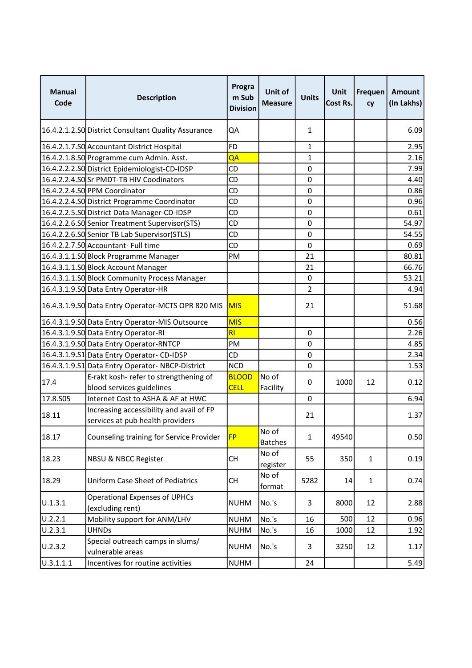| <b>Manual</b><br>Code | <b>Description</b>                                                           | Progra<br>m Sub<br><b>Division</b> | <b>Unit of</b><br><b>Measure</b> | <b>Units</b>     | <b>Unit</b><br>Cost Rs. | Frequen<br>cy | Amount<br>(In Lakhs) |
|-----------------------|------------------------------------------------------------------------------|------------------------------------|----------------------------------|------------------|-------------------------|---------------|----------------------|
|                       | 16.4.2.1.2.SO District Consultant Quality Assurance                          | QA                                 |                                  | 1                |                         |               | 6.09                 |
|                       | 16.4.2.1.7.S0 Accountant District Hospital                                   | <b>FD</b>                          |                                  | 1                |                         |               | 2.95                 |
|                       | 16.4.2.1.8.S0 Programme cum Admin. Asst.                                     | QA                                 |                                  | $\mathbf{1}$     |                         |               | 2.16                 |
|                       | 16.4.2.2.2.S0 District Epidemiologist-CD-IDSP                                | CD                                 |                                  | 0                |                         |               | 7.99                 |
|                       | 16.4.2.2.4.SOSr PMDT-TB HIV Coodinators                                      | CD                                 |                                  | $\mathbf 0$      |                         |               | 4.40                 |
|                       | 16.4.2.2.4.SO PPM Coordinator                                                | CD                                 |                                  | $\mathbf 0$      |                         |               | 0.86                 |
|                       | 16.4.2.2.4.S0 District Programme Coordinator                                 | CD                                 |                                  | 0                |                         |               | 0.96                 |
|                       | 16.4.2.2.5.SO District Data Manager-CD-IDSP                                  | CD                                 |                                  | $\mathbf 0$      |                         |               | 0.61                 |
|                       | 16.4.2.2.6.S0 Senior Treatment Supervisor (STS)                              | CD                                 |                                  | 0                |                         |               | 54.97                |
|                       | 16.4.2.2.6.S0 Senior TB Lab Supervisor (STLS)                                | CD                                 |                                  | 0                |                         |               | 54.55                |
|                       | 16.4.2.2.7.SO Accountant- Full time                                          | CD                                 |                                  | 0                |                         |               | 0.69                 |
|                       | 16.4.3.1.1.SO Block Programme Manager                                        | PM                                 |                                  | 21               |                         |               | 80.81                |
|                       | 16.4.3.1.1.50 Block Account Manager                                          |                                    |                                  | 21               |                         |               | 66.76                |
|                       | 16.4.3.1.1.SO Block Community Process Manager                                |                                    |                                  | $\mathbf 0$      |                         |               | 53.21                |
|                       | 16.4.3.1.9.SO Data Entry Operator-HR                                         |                                    |                                  | 2                |                         |               | 4.94                 |
|                       | 16.4.3.1.9.SO Data Entry Operator-MCTS OPR 820 MIS                           | <b>MIS</b>                         |                                  | 21               |                         |               | 51.68                |
|                       | 16.4.3.1.9.SO Data Entry Operator-MIS Outsource                              | <b>MIS</b>                         |                                  |                  |                         |               | 0.56                 |
|                       | 16.4.3.1.9.S0 Data Entry Operator-RI                                         | RI                                 |                                  | $\boldsymbol{0}$ |                         |               | 2.26                 |
|                       | 16.4.3.1.9.SO Data Entry Operator-RNTCP                                      | PM                                 |                                  | 0                |                         |               | 4.85                 |
|                       | 16.4.3.1.9.S1 Data Entry Operator-CD-IDSP                                    | CD                                 |                                  | $\mathbf 0$      |                         |               | 2.34                 |
|                       | 16.4.3.1.9.51 Data Entry Operator-NBCP-District                              | <b>NCD</b>                         |                                  | 0                |                         |               | 1.53                 |
| 17.4                  | E-rakt kosh- refer to strengthening of<br>blood services guidelines          | <b>BLOOD</b><br><b>CELL</b>        | No of<br>Facility                | 0                | 1000                    | 12            | 0.12                 |
| 17.8.S05              | Internet Cost to ASHA & AF at HWC                                            |                                    |                                  | 0                |                         |               | 6.94                 |
| 18.11                 | Increasing accessibility and avail of FP<br>services at pub health providers |                                    |                                  | 21               |                         |               | 1.37                 |
| 18.17                 | Counseling training for Service Provider                                     | <b>FP</b>                          | No of<br><b>Batches</b>          | 1                | 49540                   |               | 0.50                 |
| 18.23                 | <b>NBSU &amp; NBCC Register</b>                                              | <b>CH</b>                          | No of<br>register                | 55               | 350                     | $\mathbf{1}$  | 0.19                 |
| 18.29                 | <b>Uniform Case Sheet of Pediatrics</b>                                      | <b>CH</b>                          | No of<br>format                  | 5282             | 14                      | $\mathbf{1}$  | 0.74                 |
| U.1.3.1               | <b>Operational Expenses of UPHCs</b><br>(excluding rent)                     | <b>NUHM</b>                        | No.'s                            | 3                | 8000                    | 12            | 2.88                 |
| U.2.2.1               | Mobility support for ANM/LHV                                                 | <b>NUHM</b>                        | No.'s                            | 16               | 500                     | 12            | 0.96                 |
| U.2.3.1               | <b>UHNDs</b>                                                                 | <b>NUHM</b>                        | No.'s                            | 16               | 1000                    | 12            | 1.92                 |
| U.2.3.2               | Special outreach camps in slums/<br>vulnerable areas                         | <b>NUHM</b>                        | No.'s                            | 3                | 3250                    | 12            | 1.17                 |
| U.3.1.1.1             | Incentives for routine activities                                            | <b>NUHM</b>                        |                                  | 24               |                         |               | 5.49                 |